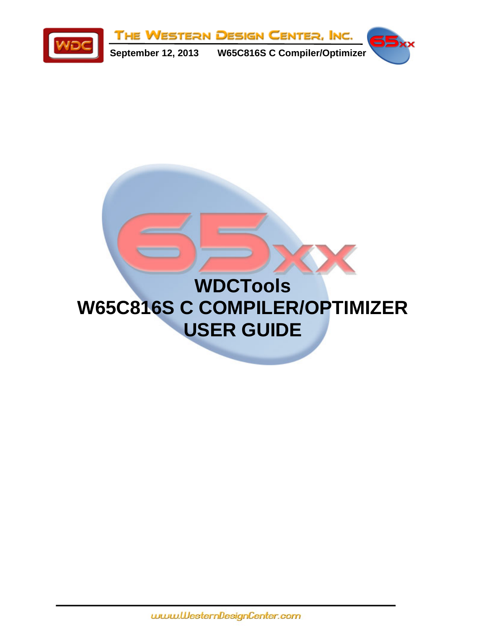

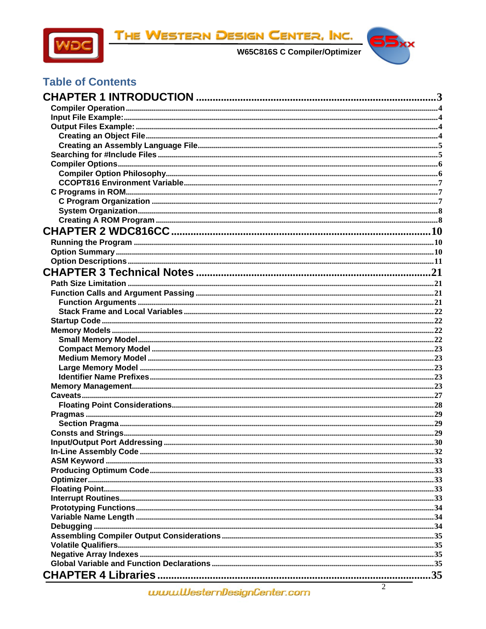

THE WESTERN DESIGN CENTER, INC.



# **Table of Contents**

| $\mathcal{D}$<br>$\mathbf{u}$ |  |
|-------------------------------|--|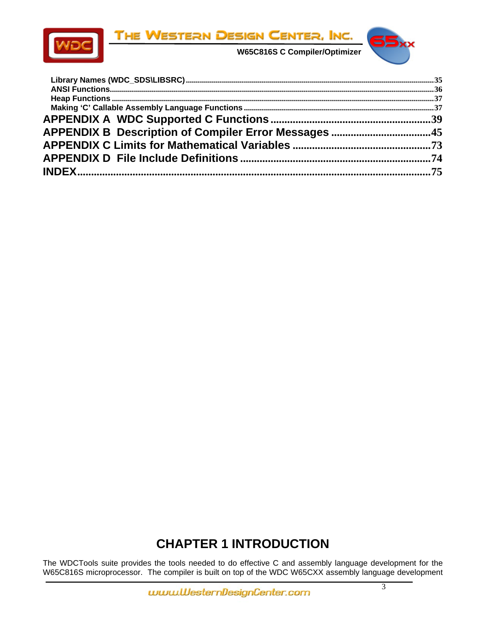

<span id="page-2-0"></span>

 **W65C816S C Compiler/Optimizer** 



# **CHAPTER 1 INTRODUCTION**

The WDCTools suite provides the tools needed to do effective C and assembly language development for the W65C816S microprocessor. The compiler is built on top of the WDC W65CXX assembly language development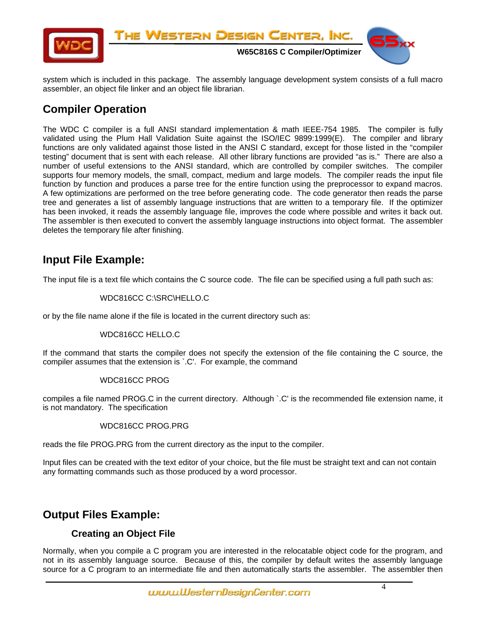<span id="page-3-0"></span>

system which is included in this package. The assembly language development system consists of a full macro assembler, an object file linker and an object file librarian.

# **Compiler Operation**

The WDC C compiler is a full ANSI standard implementation & math IEEE-754 1985. The compiler is fully validated using the Plum Hall Validation Suite against the ISO/IEC 9899:1999(E). The compiler and library functions are only validated against those listed in the ANSI C standard, except for those listed in the "compiler testing" document that is sent with each release. All other library functions are provided "as is." There are also a number of useful extensions to the ANSI standard, which are controlled by compiler switches. The compiler supports four memory models, the small, compact, medium and large models. The compiler reads the input file function by function and produces a parse tree for the entire function using the preprocessor to expand macros. A few optimizations are performed on the tree before generating code. The code generator then reads the parse tree and generates a list of assembly language instructions that are written to a temporary file. If the optimizer has been invoked, it reads the assembly language file, improves the code where possible and writes it back out. The assembler is then executed to convert the assembly language instructions into object format. The assembler deletes the temporary file after finishing.

# **Input File Example:**

The input file is a text file which contains the C source code. The file can be specified using a full path such as:

#### WDC816CC C:\SRC\HELLO.C

or by the file name alone if the file is located in the current directory such as:

#### WDC816CC HELLO.C

If the command that starts the compiler does not specify the extension of the file containing the C source, the compiler assumes that the extension is `.C'. For example, the command

#### WDC816CC PROG

compiles a file named PROG.C in the current directory. Although `.C' is the recommended file extension name, it is not mandatory. The specification

#### WDC816CC PROG.PRG

reads the file PROG.PRG from the current directory as the input to the compiler.

Input files can be created with the text editor of your choice, but the file must be straight text and can not contain any formatting commands such as those produced by a word processor.

# **Output Files Example:**

### **Creating an Object File**

Normally, when you compile a C program you are interested in the relocatable object code for the program, and not in its assembly language source. Because of this, the compiler by default writes the assembly language source for a C program to an intermediate file and then automatically starts the assembler. The assembler then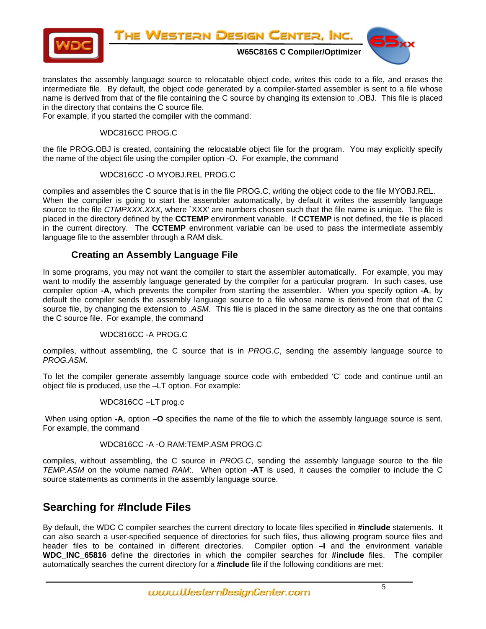<span id="page-4-0"></span>

translates the assembly language source to relocatable object code, writes this code to a file, and erases the intermediate file. By default, the object code generated by a compiler-started assembler is sent to a file whose name is derived from that of the file containing the C source by changing its extension to .OBJ. This file is placed in the directory that contains the C source file.

For example, if you started the compiler with the command:

#### WDC816CC PROG.C

the file PROG.OBJ is created, containing the relocatable object file for the program. You may explicitly specify the name of the object file using the compiler option -O. For example, the command

#### WDC816CC -O MYOBJ.REL PROG.C

compiles and assembles the C source that is in the file PROG.C, writing the object code to the file MYOBJ.REL. When the compiler is going to start the assembler automatically, by default it writes the assembly language source to the file *CTMPXXX.XXX*, where `XXX' are numbers chosen such that the file name is unique. The file is placed in the directory defined by the **CCTEMP** environment variable. If **CCTEMP** is not defined, the file is placed in the current directory. The **CCTEMP** environment variable can be used to pass the intermediate assembly language file to the assembler through a RAM disk.

### **Creating an Assembly Language File**

In some programs, you may not want the compiler to start the assembler automatically. For example, you may want to modify the assembly language generated by the compiler for a particular program. In such cases, use compiler option **-A**, which prevents the compiler from starting the assembler. When you specify option **-A**, by default the compiler sends the assembly language source to a file whose name is derived from that of the C source file, by changing the extension to *.ASM*. This file is placed in the same directory as the one that contains the C source file. For example, the command

#### WDC816CC -A PROG.C

compiles, without assembling, the C source that is in *PROG.C*, sending the assembly language source to *PROG.ASM*.

To let the compiler generate assembly language source code with embedded 'C' code and continue until an object file is produced, use the –LT option. For example:

#### WDC816CC –LT prog.c

 When using option **-A**, option **–O** specifies the name of the file to which the assembly language source is sent. For example, the command

#### WDC816CC -A -O RAM:TEMP.ASM PROG.C

compiles, without assembling, the C source in *PROG.C*, sending the assembly language source to the file *TEMP.ASM* on the volume named *RAM*:. When option **-AT** is used, it causes the compiler to include the C source statements as comments in the assembly language source.

# **Searching for #Include Files**

By default, the WDC C compiler searches the current directory to locate files specified in **#include** statements. It can also search a user-specified sequence of directories for such files, thus allowing program source files and header files to be contained in different directories. Compiler option **–I** and the environment variable **WDC\_INC\_65816** define the directories in which the compiler searches for **#include** files. The compiler automatically searches the current directory for a **#include** file if the following conditions are met: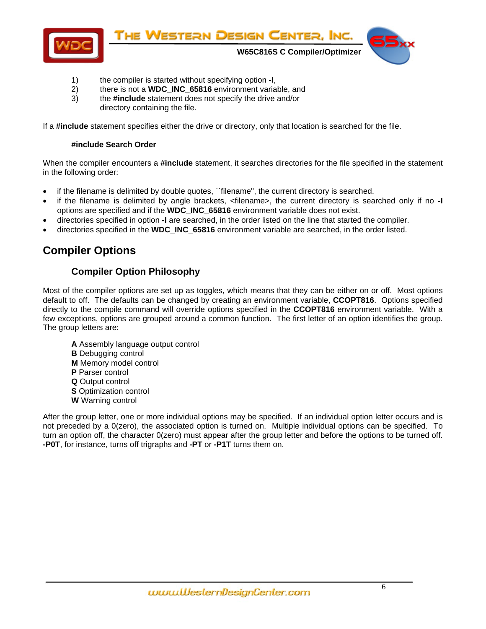<span id="page-5-0"></span>

- 1) the compiler is started without specifying option **-I**,
- 2) there is not a **WDC\_INC\_65816** environment variable, and
- 3) the **#include** statement does not specify the drive and/or directory containing the file.

If a **#include** statement specifies either the drive or directory, only that location is searched for the file.

#### **#include Search Order**

When the compiler encounters a **#include** statement, it searches directories for the file specified in the statement in the following order:

- if the filename is delimited by double quotes, "filename", the current directory is searched.
- if the filename is delimited by angle brackets, <filename>, the current directory is searched only if no **-I** options are specified and if the **WDC\_INC\_65816** environment variable does not exist.
- directories specified in option **-I** are searched, in the order listed on the line that started the compiler.
- directories specified in the **WDC\_INC\_65816** environment variable are searched, in the order listed.

# **Compiler Options**

# **Compiler Option Philosophy**

Most of the compiler options are set up as toggles, which means that they can be either on or off. Most options default to off. The defaults can be changed by creating an environment variable, **CCOPT816**. Options specified directly to the compile command will override options specified in the **CCOPT816** environment variable. With a few exceptions, options are grouped around a common function. The first letter of an option identifies the group. The group letters are:

**A** Assembly language output control **B** Debugging control **M** Memory model control **P** Parser control **Q** Output control **S** Optimization control **W** Warning control

After the group letter, one or more individual options may be specified. If an individual option letter occurs and is not preceded by a 0(zero), the associated option is turned on. Multiple individual options can be specified. To turn an option off, the character 0(zero) must appear after the group letter and before the options to be turned off. **-P0T**, for instance, turns off trigraphs and **-PT** or **-P1T** turns them on.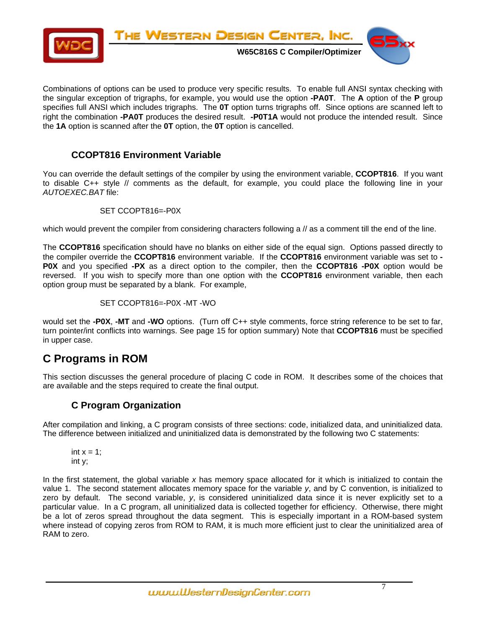<span id="page-6-0"></span>

Combinations of options can be used to produce very specific results. To enable full ANSI syntax checking with the singular exception of trigraphs, for example, you would use the option **-PA0T**. The **A** option of the **P** group specifies full ANSI which includes trigraphs. The **0T** option turns trigraphs off. Since options are scanned left to right the combination **-PA0T** produces the desired result. **-P0T1A** would not produce the intended result. Since the **1A** option is scanned after the **0T** option, the **0T** option is cancelled.

### **CCOPT816 Environment Variable**

You can override the default settings of the compiler by using the environment variable, **CCOPT816**. If you want to disable C++ style // comments as the default, for example, you could place the following line in your *AUTOEXEC.BAT* file:

#### SET CCOPT816=-P0X

which would prevent the compiler from considering characters following a // as a comment till the end of the line.

The **CCOPT816** specification should have no blanks on either side of the equal sign. Options passed directly to the compiler override the **CCOPT816** environment variable. If the **CCOPT816** environment variable was set to **- P0X** and you specified **-PX** as a direct option to the compiler, then the **CCOPT816 -P0X** option would be reversed. If you wish to specify more than one option with the **CCOPT816** environment variable, then each option group must be separated by a blank. For example,

SET CCOPT816=-P0X -MT -WO

would set the **-P0X**, **-MT** and **-WO** options. (Turn off C++ style comments, force string reference to be set to far, turn pointer/int conflicts into warnings. See page 15 for option summary) Note that **CCOPT816** must be specified in upper case.

# **C Programs in ROM**

This section discusses the general procedure of placing C code in ROM. It describes some of the choices that are available and the steps required to create the final output.

### **C Program Organization**

After compilation and linking, a C program consists of three sections: code, initialized data, and uninitialized data. The difference between initialized and uninitialized data is demonstrated by the following two C statements:

int  $x = 1$ ; int y;

In the first statement, the global variable *x* has memory space allocated for it which is initialized to contain the value 1. The second statement allocates memory space for the variable *y*, and by C convention, is initialized to zero by default. The second variable, *y*, is considered uninitialized data since it is never explicitly set to a particular value. In a C program, all uninitialized data is collected together for efficiency. Otherwise, there might be a lot of zeros spread throughout the data segment. This is especially important in a ROM-based system where instead of copying zeros from ROM to RAM, it is much more efficient just to clear the uninitialized area of RAM to zero.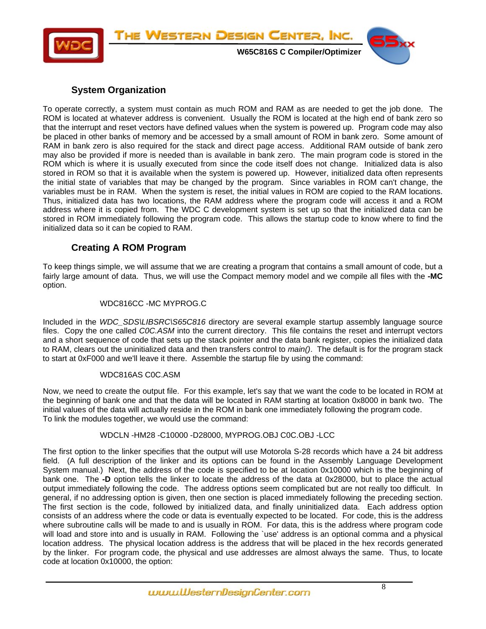<span id="page-7-0"></span>

### **System Organization**

To operate correctly, a system must contain as much ROM and RAM as are needed to get the job done. The ROM is located at whatever address is convenient. Usually the ROM is located at the high end of bank zero so that the interrupt and reset vectors have defined values when the system is powered up. Program code may also be placed in other banks of memory and be accessed by a small amount of ROM in bank zero. Some amount of RAM in bank zero is also required for the stack and direct page access. Additional RAM outside of bank zero may also be provided if more is needed than is available in bank zero. The main program code is stored in the ROM which is where it is usually executed from since the code itself does not change. Initialized data is also stored in ROM so that it is available when the system is powered up. However, initialized data often represents the initial state of variables that may be changed by the program. Since variables in ROM can't change, the variables must be in RAM. When the system is reset, the initial values in ROM are copied to the RAM locations. Thus, initialized data has two locations, the RAM address where the program code will access it and a ROM address where it is copied from. The WDC C development system is set up so that the initialized data can be stored in ROM immediately following the program code. This allows the startup code to know where to find the initialized data so it can be copied to RAM.

### **Creating A ROM Program**

To keep things simple, we will assume that we are creating a program that contains a small amount of code, but a fairly large amount of data. Thus, we will use the Compact memory model and we compile all files with the **-MC** option.

#### WDC816CC -MC MYPROG.C

Included in the *WDC\_SDS\LIBSRC\S65C816* directory are several example startup assembly language source files. Copy the one called *C0C.ASM* into the current directory. This file contains the reset and interrupt vectors and a short sequence of code that sets up the stack pointer and the data bank register, copies the initialized data to RAM, clears out the uninitialized data and then transfers control to *main()*. The default is for the program stack to start at 0xF000 and we'll leave it there. Assemble the startup file by using the command:

#### WDC816AS C0C.ASM

Now, we need to create the output file. For this example, let's say that we want the code to be located in ROM at the beginning of bank one and that the data will be located in RAM starting at location 0x8000 in bank two. The initial values of the data will actually reside in the ROM in bank one immediately following the program code. To link the modules together, we would use the command:

#### WDCLN -HM28 -C10000 -D28000, MYPROG.OBJ C0C.OBJ -LCC

The first option to the linker specifies that the output will use Motorola S-28 records which have a 24 bit address field. (A full description of the linker and its options can be found in the Assembly Language Development System manual.) Next, the address of the code is specified to be at location 0x10000 which is the beginning of bank one. The **-D** option tells the linker to locate the address of the data at 0x28000, but to place the actual output immediately following the code. The address options seem complicated but are not really too difficult. In general, if no addressing option is given, then one section is placed immediately following the preceding section. The first section is the code, followed by initialized data, and finally uninitialized data. Each address option consists of an address where the code or data is eventually expected to be located. For code, this is the address where subroutine calls will be made to and is usually in ROM. For data, this is the address where program code will load and store into and is usually in RAM. Following the 'use' address is an optional comma and a physical location address. The physical location address is the address that will be placed in the hex records generated by the linker. For program code, the physical and use addresses are almost always the same. Thus, to locate code at location 0x10000, the option: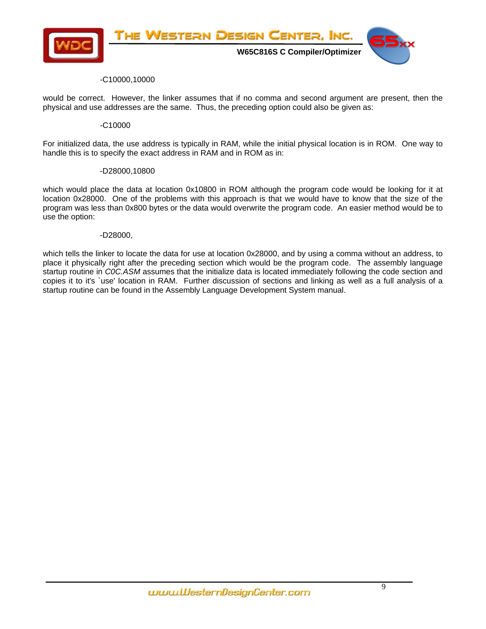

#### -C10000,10000

would be correct. However, the linker assumes that if no comma and second argument are present, then the physical and use addresses are the same. Thus, the preceding option could also be given as:

#### -C10000

For initialized data, the use address is typically in RAM, while the initial physical location is in ROM. One way to handle this is to specify the exact address in RAM and in ROM as in:

#### -D28000,10800

which would place the data at location 0x10800 in ROM although the program code would be looking for it at location 0x28000. One of the problems with this approach is that we would have to know that the size of the program was less than 0x800 bytes or the data would overwrite the program code. An easier method would be to use the option:

#### -D28000,

which tells the linker to locate the data for use at location 0x28000, and by using a comma without an address, to place it physically right after the preceding section which would be the program code. The assembly language startup routine in *C0C.ASM* assumes that the initialize data is located immediately following the code section and copies it to it's `use' location in RAM. Further discussion of sections and linking as well as a full analysis of a startup routine can be found in the Assembly Language Development System manual.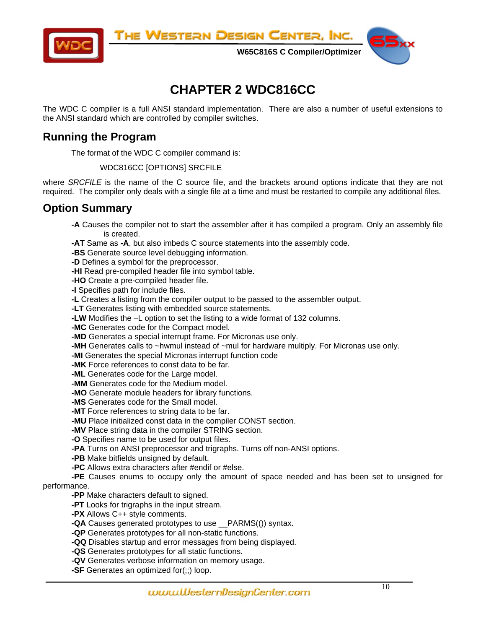<span id="page-9-0"></span>

The Western Design Center, Inc.

 **W65C816S C Compiler/Optimizer** 

# **CHAPTER 2 WDC816CC**

The WDC C compiler is a full ANSI standard implementation. There are also a number of useful extensions to the ANSI standard which are controlled by compiler switches.

# **Running the Program**

The format of the WDC C compiler command is:

#### WDC816CC [OPTIONS] SRCFILE

where *SRCFILE* is the name of the C source file, and the brackets around options indicate that they are not required. The compiler only deals with a single file at a time and must be restarted to compile any additional files.

# **Option Summary**

- **-A** Causes the compiler not to start the assembler after it has compiled a program. Only an assembly file is created.
- **-AT** Same as **-A**, but also imbeds C source statements into the assembly code.
- **-BS** Generate source level debugging information.
- **-D** Defines a symbol for the preprocessor.
- **-HI** Read pre-compiled header file into symbol table.
- **-HO** Create a pre-compiled header file.
- **-I** Specifies path for include files.
- **-L** Creates a listing from the compiler output to be passed to the assembler output.
- **-LT** Generates listing with embedded source statements.
- **-LW** Modifies the –L option to set the listing to a wide format of 132 columns.
- **-MC** Generates code for the Compact model.
- **-MD** Generates a special interrupt frame. For Micronas use only.
- **-MH** Generates calls to ~hwmul instead of ~mul for hardware multiply. For Micronas use only.
- **-MI** Generates the special Micronas interrupt function code
- **-MK** Force references to const data to be far.
- **-ML** Generates code for the Large model.
- **-MM** Generates code for the Medium model.
- **-MO** Generate module headers for library functions.
- **-MS** Generates code for the Small model.
- **-MT** Force references to string data to be far.
- **-MU** Place initialized const data in the compiler CONST section.
- **-MV** Place string data in the compiler STRING section.
- **-O** Specifies name to be used for output files.
- **-PA** Turns on ANSI preprocessor and trigraphs. Turns off non-ANSI options.
- **-PB** Make bitfields unsigned by default.
- **-PC** Allows extra characters after #endif or #else.
- **-PE** Causes enums to occupy only the amount of space needed and has been set to unsigned for performance.

- **-PP** Make characters default to signed. **-PT** Looks for trigraphs in the input stream.
- **-PX** Allows C++ style comments.
- **-QA** Causes generated prototypes to use \_\_PARMS(()) syntax.
- **-QP** Generates prototypes for all non-static functions.
- **-QQ** Disables startup and error messages from being displayed.
- **-QS** Generates prototypes for all static functions.
- **-QV** Generates verbose information on memory usage.
- **-SF** Generates an optimized for(;;) loop.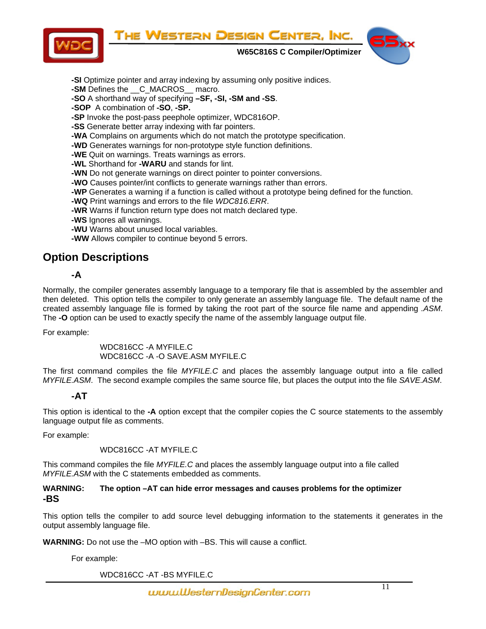THE WESTERN DESIGN CENTER, INC.

<span id="page-10-0"></span>

 **W65C816S C Compiler/Optimizer** 



- **-SI** Optimize pointer and array indexing by assuming only positive indices.
- **-SM** Defines the <u>C\_MACROS\_</u> macro.
- **-SO** A shorthand way of specifying **–SF, -SI, -SM and -SS**.
- **-SOP** A combination of **-SO**, **-SP.**
- **-SP** Invoke the post-pass peephole optimizer, WDC816OP.
- **-SS** Generate better array indexing with far pointers.
- **-WA** Complains on arguments which do not match the prototype specification.
- **-WD** Generates warnings for non-prototype style function definitions.
- **-WE** Quit on warnings. Treats warnings as errors.
- **-WL** Shorthand for **-WARU** and stands for lint.
- **-WN** Do not generate warnings on direct pointer to pointer conversions.
- **-WO** Causes pointer/int conflicts to generate warnings rather than errors.
- **-WP** Generates a warning if a function is called without a prototype being defined for the function.
- **-WQ** Print warnings and errors to the file *WDC816.ERR*.
- **-WR** Warns if function return type does not match declared type.
- **-WS** Ignores all warnings.
- **-WU** Warns about unused local variables.
- **-WW** Allows compiler to continue beyond 5 errors.

# **Option Descriptions**

# **-A**

Normally, the compiler generates assembly language to a temporary file that is assembled by the assembler and then deleted. This option tells the compiler to only generate an assembly language file. The default name of the created assembly language file is formed by taking the root part of the source file name and appending *.ASM*. The **-O** option can be used to exactly specify the name of the assembly language output file.

For example:

WDC816CC -A MYFILE.C WDC816CC -A -O SAVE.ASM MYFILE.C

The first command compiles the file *MYFILE.C* and places the assembly language output into a file called *MYFILE.ASM*. The second example compiles the same source file, but places the output into the file *SAVE.ASM*.

### **-AT**

This option is identical to the **-A** option except that the compiler copies the C source statements to the assembly language output file as comments.

For example:

WDC816CC -AT MYFILE.C

This command compiles the file *MYFILE.C* and places the assembly language output into a file called *MYFILE.ASM* with the C statements embedded as comments.

#### **WARNING: The option –AT can hide error messages and causes problems for the optimizer -BS**

This option tells the compiler to add source level debugging information to the statements it generates in the output assembly language file.

**WARNING:** Do not use the –MO option with –BS. This will cause a conflict.

For example:

WDC816CC -AT -BS MYFILE.C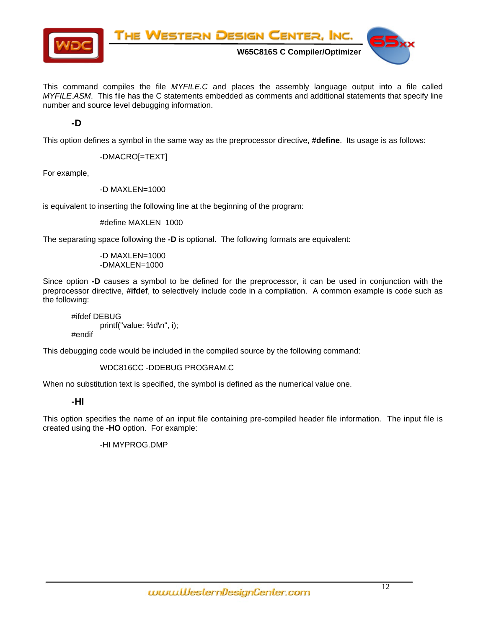

This command compiles the file *MYFILE.C* and places the assembly language output into a file called *MYFILE.ASM*. This file has the C statements embedded as comments and additional statements that specify line number and source level debugging information.

**-D** 

This option defines a symbol in the same way as the preprocessor directive, **#define**. Its usage is as follows:

-DMACRO[=TEXT]

For example,

-D MAXLEN=1000

is equivalent to inserting the following line at the beginning of the program:

#define MAXLEN 1000

The separating space following the **-D** is optional. The following formats are equivalent:

-D MAXLEN=1000 -DMAXLEN=1000

Since option **-D** causes a symbol to be defined for the preprocessor, it can be used in conjunction with the preprocessor directive, **#ifdef**, to selectively include code in a compilation. A common example is code such as the following:

#ifdef DEBUG printf("value: %d\n", i); #endif

This debugging code would be included in the compiled source by the following command:

WDC816CC -DDEBUG PROGRAM.C

When no substitution text is specified, the symbol is defined as the numerical value one.

#### **-HI**

This option specifies the name of an input file containing pre-compiled header file information. The input file is created using the **-HO** option. For example:

-HI MYPROG.DMP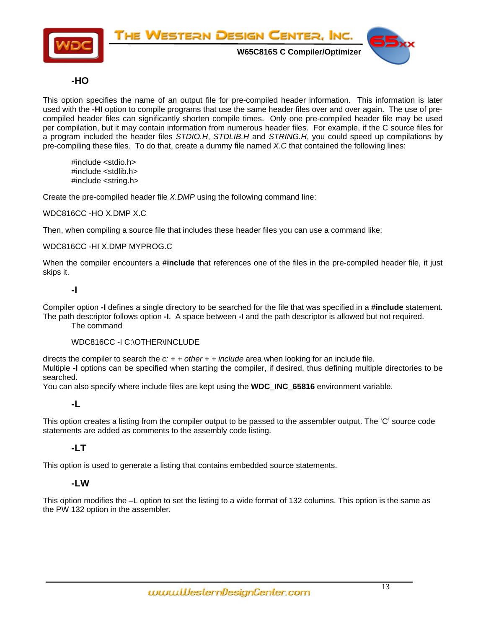

### **-HO**

This option specifies the name of an output file for pre-compiled header information. This information is later used with the **-HI** option to compile programs that use the same header files over and over again. The use of precompiled header files can significantly shorten compile times. Only one pre-compiled header file may be used per compilation, but it may contain information from numerous header files. For example, if the C source files for a program included the header files *STDIO.H*, *STDLIB.H* and *STRING.H*, you could speed up compilations by pre-compiling these files. To do that, create a dummy file named *X.C* that contained the following lines:

#include <stdio.h> #include <stdlib.h> #include <string.h>

Create the pre-compiled header file *X.DMP* using the following command line:

WDC816CC -HO X.DMP X.C

Then, when compiling a source file that includes these header files you can use a command like:

#### WDC816CC -HI X.DMP MYPROG.C

When the compiler encounters a **#include** that references one of the files in the pre-compiled header file, it just skips it.

#### **-I**

Compiler option **-I** defines a single directory to be searched for the file that was specified in a **#include** statement. The path descriptor follows option **-I**. A space between **-I** and the path descriptor is allowed but not required.

The command

#### WDC816CC -I C:\OTHER\INCLUDE

directs the compiler to search the *c: + + other + + include* area when looking for an include file. Multiple **-I** options can be specified when starting the compiler, if desired, thus defining multiple directories to be searched.

You can also specify where include files are kept using the **WDC\_INC\_65816** environment variable.

#### **-L**

This option creates a listing from the compiler output to be passed to the assembler output. The 'C' source code statements are added as comments to the assembly code listing.

### **-LT**

This option is used to generate a listing that contains embedded source statements.

#### **-LW**

This option modifies the –L option to set the listing to a wide format of 132 columns. This option is the same as the PW 132 option in the assembler.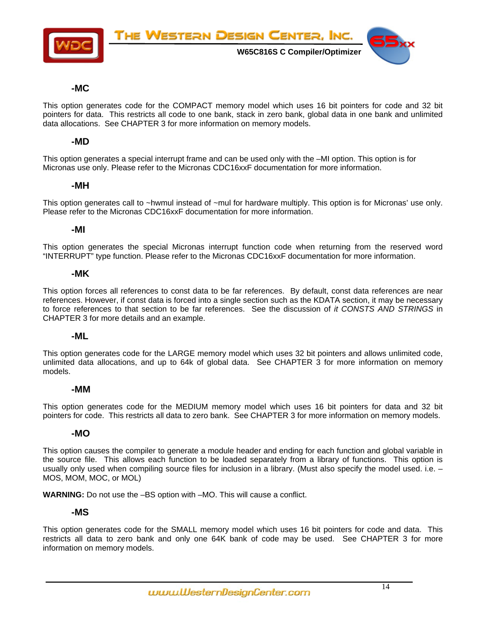

#### **-MC**

This option generates code for the COMPACT memory model which uses 16 bit pointers for code and 32 bit pointers for data. This restricts all code to one bank, stack in zero bank, global data in one bank and unlimited data allocations. See CHAPTER 3 for more information on memory models.

#### **-MD**

This option generates a special interrupt frame and can be used only with the –MI option. This option is for Micronas use only. Please refer to the Micronas CDC16xxF documentation for more information.

#### **-MH**

This option generates call to ~hwmul instead of ~mul for hardware multiply. This option is for Micronas' use only. Please refer to the Micronas CDC16xxF documentation for more information.

#### **-MI**

This option generates the special Micronas interrupt function code when returning from the reserved word "INTERRUPT" type function. Please refer to the Micronas CDC16xxF documentation for more information.

#### **-MK**

This option forces all references to const data to be far references. By default, const data references are near references. However, if const data is forced into a single section such as the KDATA section, it may be necessary to force references to that section to be far references. See the discussion of *it CONSTS AND STRINGS* in CHAPTER 3 for more details and an example.

#### **-ML**

This option generates code for the LARGE memory model which uses 32 bit pointers and allows unlimited code, unlimited data allocations, and up to 64k of global data. See CHAPTER 3 for more information on memory models.

#### **-MM**

This option generates code for the MEDIUM memory model which uses 16 bit pointers for data and 32 bit pointers for code. This restricts all data to zero bank. See CHAPTER 3 for more information on memory models.

#### **-MO**

This option causes the compiler to generate a module header and ending for each function and global variable in the source file. This allows each function to be loaded separately from a library of functions. This option is usually only used when compiling source files for inclusion in a library. (Must also specify the model used. i.e. – MOS, MOM, MOC, or MOL)

**WARNING:** Do not use the –BS option with –MO. This will cause a conflict.

#### **-MS**

This option generates code for the SMALL memory model which uses 16 bit pointers for code and data. This restricts all data to zero bank and only one 64K bank of code may be used. See CHAPTER 3 for more information on memory models.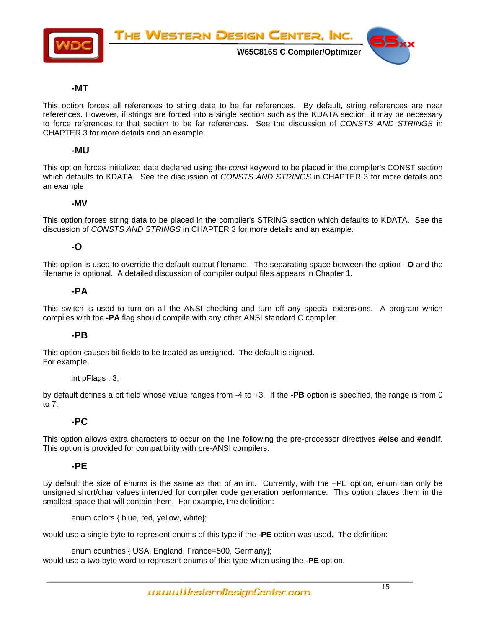

#### **-MT**

This option forces all references to string data to be far references. By default, string references are near references. However, if strings are forced into a single section such as the KDATA section, it may be necessary to force references to that section to be far references. See the discussion of *CONSTS AND STRINGS* in CHAPTER 3 for more details and an example.

#### **-MU**

This option forces initialized data declared using the *const* keyword to be placed in the compiler's CONST section which defaults to KDATA. See the discussion of *CONSTS AND STRINGS* in CHAPTER 3 for more details and an example.

#### **-MV**

This option forces string data to be placed in the compiler's STRING section which defaults to KDATA. See the discussion of *CONSTS AND STRINGS* in CHAPTER 3 for more details and an example.

#### **-O**

This option is used to override the default output filename. The separating space between the option **–O** and the filename is optional. A detailed discussion of compiler output files appears in Chapter 1.

#### **-PA**

This switch is used to turn on all the ANSI checking and turn off any special extensions. A program which compiles with the **-PA** flag should compile with any other ANSI standard C compiler.

#### **-PB**

This option causes bit fields to be treated as unsigned. The default is signed. For example,

#### int pFlags : 3;

by default defines a bit field whose value ranges from -4 to +3. If the **-PB** option is specified, the range is from 0 to 7.

#### **-PC**

This option allows extra characters to occur on the line following the pre-processor directives **#else** and **#endif**. This option is provided for compatibility with pre-ANSI compilers.

#### **-PE**

By default the size of enums is the same as that of an int. Currently, with the –PE option, enum can only be unsigned short/char values intended for compiler code generation performance. This option places them in the smallest space that will contain them. For example, the definition:

enum colors { blue, red, yellow, white};

would use a single byte to represent enums of this type if the **-PE** option was used. The definition:

enum countries { USA, England, France=500, Germany}; would use a two byte word to represent enums of this type when using the **-PE** option.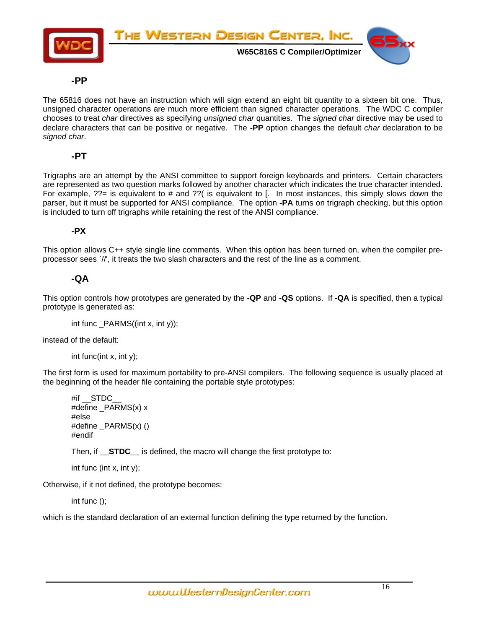

### **-PP**

The 65816 does not have an instruction which will sign extend an eight bit quantity to a sixteen bit one. Thus, unsigned character operations are much more efficient than signed character operations. The WDC C compiler chooses to treat *char* directives as specifying *unsigned char* quantities. The *signed char* directive may be used to declare characters that can be positive or negative. The **-PP** option changes the default *char* declaration to be *signed char*.

### **-PT**

Trigraphs are an attempt by the ANSI committee to support foreign keyboards and printers. Certain characters are represented as two question marks followed by another character which indicates the true character intended. For example,  $?$ ?= is equivalent to # and  $?$ ?( is equivalent to [. In most instances, this simply slows down the parser, but it must be supported for ANSI compliance. The option **-PA** turns on trigraph checking, but this option is included to turn off trigraphs while retaining the rest of the ANSI compliance.

### **-PX**

This option allows C++ style single line comments. When this option has been turned on, when the compiler preprocessor sees `//', it treats the two slash characters and the rest of the line as a comment.

### **-QA**

This option controls how prototypes are generated by the **-QP** and **-QS** options. If **-QA** is specified, then a typical prototype is generated as:

int func \_PARMS((int x, int y));

instead of the default:

int func(int x, int y);

The first form is used for maximum portability to pre-ANSI compilers. The following sequence is usually placed at the beginning of the header file containing the portable style prototypes:

```
#if STDC
#define PARMS(x) x
#else 
#define _PARMS(x) () 
#endif
```
Then, if **STDC** is defined, the macro will change the first prototype to:

int func (int x, int y);

Otherwise, if it not defined, the prototype becomes:

int func ();

which is the standard declaration of an external function defining the type returned by the function.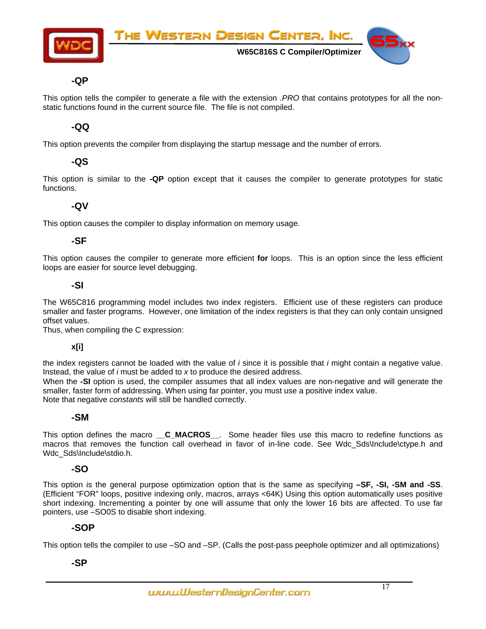

#### **-QP**

This option tells the compiler to generate a file with the extension *.PRO* that contains prototypes for all the nonstatic functions found in the current source file. The file is not compiled.

#### **-QQ**

This option prevents the compiler from displaying the startup message and the number of errors.

### **-QS**

This option is similar to the **-QP** option except that it causes the compiler to generate prototypes for static functions.

### **-QV**

This option causes the compiler to display information on memory usage.

### **-SF**

This option causes the compiler to generate more efficient **for** loops. This is an option since the less efficient loops are easier for source level debugging.

#### **-SI**

The W65C816 programming model includes two index registers. Efficient use of these registers can produce smaller and faster programs. However, one limitation of the index registers is that they can only contain unsigned offset values.

Thus, when compiling the C expression:

#### **x[i]**

the index registers cannot be loaded with the value of *i* since it is possible that *i* might contain a negative value. Instead, the value of *i* must be added to *x* to produce the desired address.

When the **-SI** option is used, the compiler assumes that all index values are non-negative and will generate the smaller, faster form of addressing. When using far pointer, you must use a positive index value. Note that negative *constants* will still be handled correctly.

#### **-SM**

This option defines the macro **\_\_C\_MACROS**\_\_. Some header files use this macro to redefine functions as macros that removes the function call overhead in favor of in-line code. See Wdc Sds\Include\ctype.h and Wdc\_Sds\Include\stdio.h.

#### **-SO**

This option is the general purpose optimization option that is the same as specifying **–SF, -SI, -SM and -SS**. (Efficient "FOR" loops, positive indexing only, macros, arrays <64K) Using this option automatically uses positive short indexing. Incrementing a pointer by one will assume that only the lower 16 bits are affected. To use far pointers, use –SO0S to disable short indexing.

#### **-SOP**

This option tells the compiler to use –SO and –SP. (Calls the post-pass peephole optimizer and all optimizations)

### **-SP**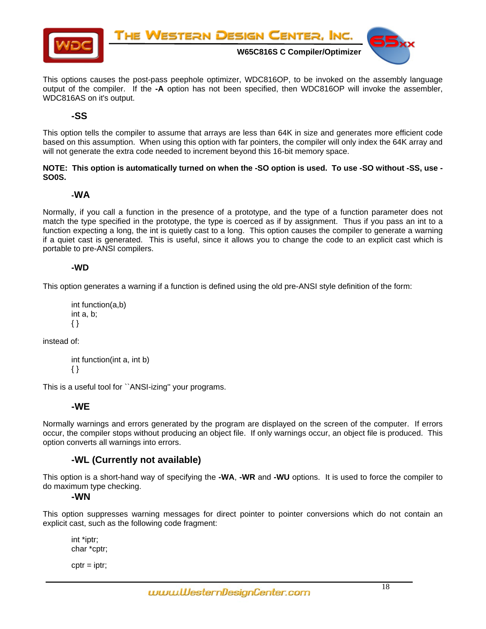

This options causes the post-pass peephole optimizer, WDC816OP, to be invoked on the assembly language output of the compiler. If the **-A** option has not been specified, then WDC816OP will invoke the assembler, WDC816AS on it's output.

### **-SS**

This option tells the compiler to assume that arrays are less than 64K in size and generates more efficient code based on this assumption. When using this option with far pointers, the compiler will only index the 64K array and will not generate the extra code needed to increment beyond this 16-bit memory space.

**NOTE: This option is automatically turned on when the -SO option is used. To use -SO without -SS, use - SO0S.** 

#### **-WA**

Normally, if you call a function in the presence of a prototype, and the type of a function parameter does not match the type specified in the prototype, the type is coerced as if by assignment. Thus if you pass an int to a function expecting a long, the int is quietly cast to a long. This option causes the compiler to generate a warning if a quiet cast is generated. This is useful, since it allows you to change the code to an explicit cast which is portable to pre-ANSI compilers.

#### **-WD**

This option generates a warning if a function is defined using the old pre-ANSI style definition of the form:

```
int function(a,b) 
int a, b; 
{ }
```
instead of:

int function(int a, int b) { }

This is a useful tool for ``ANSI-izing'' your programs.

#### **-WE**

Normally warnings and errors generated by the program are displayed on the screen of the computer. If errors occur, the compiler stops without producing an object file. If only warnings occur, an object file is produced. This option converts all warnings into errors.

#### **-WL (Currently not available)**

This option is a short-hand way of specifying the **-WA**, **-WR** and **-WU** options. It is used to force the compiler to do maximum type checking.

**-WN** 

This option suppresses warning messages for direct pointer to pointer conversions which do not contain an explicit cast, such as the following code fragment:

int \*iptr; char \*cptr;

 $cptr = iptr;$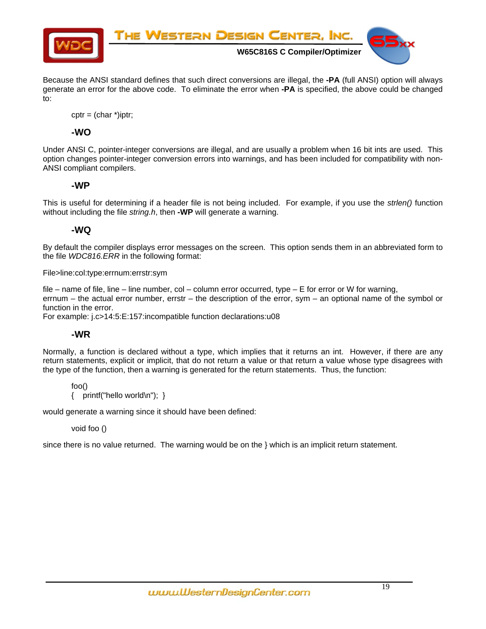

Because the ANSI standard defines that such direct conversions are illegal, the **-PA** (full ANSI) option will always generate an error for the above code. To eliminate the error when **-PA** is specified, the above could be changed to:

 $cptr = (char *)iptr$ ;

### **-WO**

Under ANSI C, pointer-integer conversions are illegal, and are usually a problem when 16 bit ints are used. This option changes pointer-integer conversion errors into warnings, and has been included for compatibility with non-ANSI compliant compilers.

### **-WP**

This is useful for determining if a header file is not being included. For example, if you use the *strlen()* function without including the file *string.h*, then **-WP** will generate a warning.

### **-WQ**

By default the compiler displays error messages on the screen. This option sends them in an abbreviated form to the file *WDC816.ERR* in the following format:

File>line:col:type:errnum:errstr:sym

file – name of file, line – line number, col – column error occurred, type – E for error or W for warning, errnum – the actual error number, errstr – the description of the error, sym – an optional name of the symbol or function in the error.

For example: j.c>14:5:E:157:incompatible function declarations:u08

### **-WR**

Normally, a function is declared without a type, which implies that it returns an int. However, if there are any return statements, explicit or implicit, that do not return a value or that return a value whose type disagrees with the type of the function, then a warning is generated for the return statements. Thus, the function:

foo() { printf("hello world\n"); }

would generate a warning since it should have been defined:

#### void foo ()

since there is no value returned. The warning would be on the } which is an implicit return statement.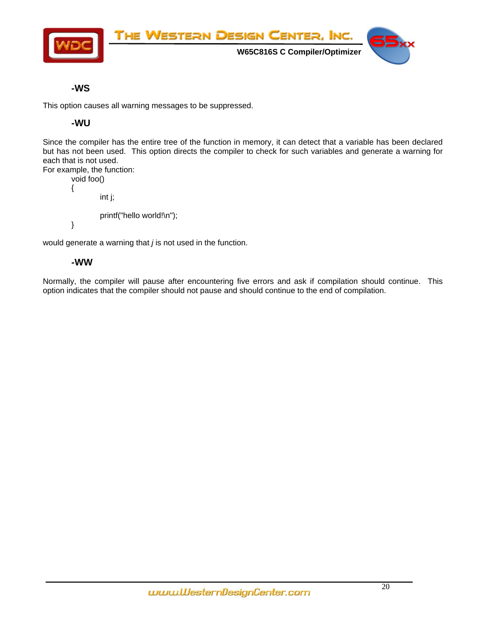

### **-WS**

This option causes all warning messages to be suppressed.

### **-WU**

Since the compiler has the entire tree of the function in memory, it can detect that a variable has been declared but has not been used. This option directs the compiler to check for such variables and generate a warning for each that is not used.

```
For example, the function: 
         void foo() 
         { 
                   int j; 
                   printf("hello world!\n"); 
         }
```
would generate a warning that *j* is not used in the function.

### **-WW**

Normally, the compiler will pause after encountering five errors and ask if compilation should continue. This option indicates that the compiler should not pause and should continue to the end of compilation.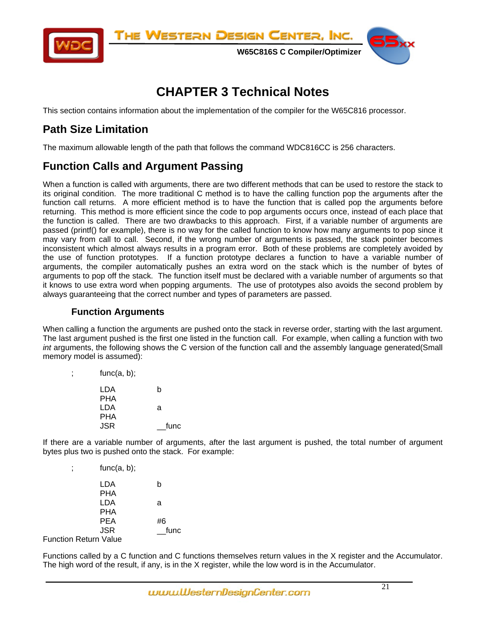<span id="page-20-0"></span>

# **CHAPTER 3 Technical Notes**

This section contains information about the implementation of the compiler for the W65C816 processor.

# **Path Size Limitation**

The maximum allowable length of the path that follows the command WDC816CC is 256 characters.

# **Function Calls and Argument Passing**

When a function is called with arguments, there are two different methods that can be used to restore the stack to its original condition. The more traditional C method is to have the calling function pop the arguments after the function call returns. A more efficient method is to have the function that is called pop the arguments before returning. This method is more efficient since the code to pop arguments occurs once, instead of each place that the function is called. There are two drawbacks to this approach. First, if a variable number of arguments are passed (printf() for example), there is no way for the called function to know how many arguments to pop since it may vary from call to call. Second, if the wrong number of arguments is passed, the stack pointer becomes inconsistent which almost always results in a program error. Both of these problems are completely avoided by the use of function prototypes. If a function prototype declares a function to have a variable number of arguments, the compiler automatically pushes an extra word on the stack which is the number of bytes of arguments to pop off the stack. The function itself must be declared with a variable number of arguments so that it knows to use extra word when popping arguments. The use of prototypes also avoids the second problem by always guaranteeing that the correct number and types of parameters are passed.

### **Function Arguments**

When calling a function the arguments are pushed onto the stack in reverse order, starting with the last argument. The last argument pushed is the first one listed in the function call. For example, when calling a function with two *int* arguments, the following shows the C version of the function call and the assembly language generated(Small memory model is assumed):

| func(a, b); |  |
|-------------|--|
|             |  |

| LDA | b    |
|-----|------|
| PHA |      |
| LDA | a    |
| PHA |      |
| JSR | func |

If there are a variable number of arguments, after the last argument is pushed, the total number of argument bytes plus two is pushed onto the stack. For example:

| func(a, b); |
|-------------|
|             |

| LDA                                | b    |
|------------------------------------|------|
| <b>PHA</b>                         |      |
| LDA                                | a    |
| <b>PHA</b>                         |      |
| PEA                                | #6   |
| <b>JSR</b>                         | func |
| $\sim$ $\sim$ $\sim$ $\sim$ $\sim$ |      |

Function Return Value

Functions called by a C function and C functions themselves return values in the X register and the Accumulator. The high word of the result, if any, is in the X register, while the low word is in the Accumulator.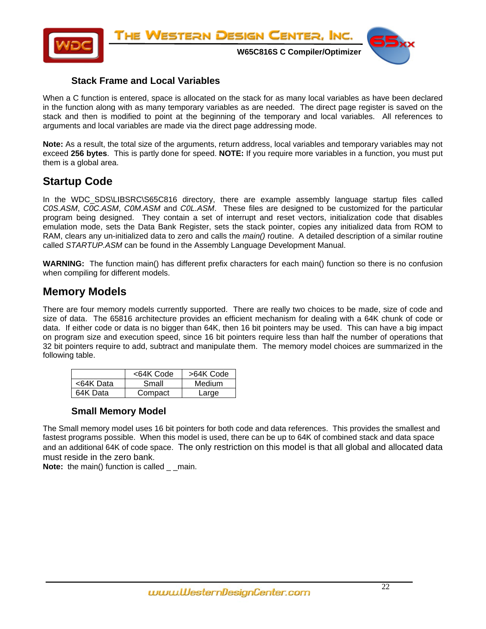<span id="page-21-0"></span>

### **Stack Frame and Local Variables**

When a C function is entered, space is allocated on the stack for as many local variables as have been declared in the function along with as many temporary variables as are needed. The direct page register is saved on the stack and then is modified to point at the beginning of the temporary and local variables. All references to arguments and local variables are made via the direct page addressing mode.

**Note:** As a result, the total size of the arguments, return address, local variables and temporary variables may not exceed **256 bytes**. This is partly done for speed. **NOTE:** If you require more variables in a function, you must put them is a global area.

# **Startup Code**

In the WDC SDS\LIBSRC\S65C816 directory, there are example assembly language startup files called *C0S.ASM*, *C0C.ASM*, *C0M.ASM* and *C0L.ASM*. These files are designed to be customized for the particular program being designed. They contain a set of interrupt and reset vectors, initialization code that disables emulation mode, sets the Data Bank Register, sets the stack pointer, copies any initialized data from ROM to RAM, clears any un-initialized data to zero and calls the *main()* routine. A detailed description of a similar routine called *STARTUP.ASM* can be found in the Assembly Language Development Manual.

**WARNING:** The function main() has different prefix characters for each main() function so there is no confusion when compiling for different models.

# **Memory Models**

There are four memory models currently supported. There are really two choices to be made, size of code and size of data. The 65816 architecture provides an efficient mechanism for dealing with a 64K chunk of code or data. If either code or data is no bigger than 64K, then 16 bit pointers may be used. This can have a big impact on program size and execution speed, since 16 bit pointers require less than half the number of operations that 32 bit pointers require to add, subtract and manipulate them. The memory model choices are summarized in the following table.

|           | <64K Code | >64K Code |
|-----------|-----------|-----------|
| <64K Data | Small     | Medium    |
| 64K Data  | Compact   | Large     |

#### **Small Memory Model**

The Small memory model uses 16 bit pointers for both code and data references. This provides the smallest and fastest programs possible. When this model is used, there can be up to 64K of combined stack and data space and an additional 64K of code space. The only restriction on this model is that all global and allocated data must reside in the zero bank.

**Note:** the main() function is called main.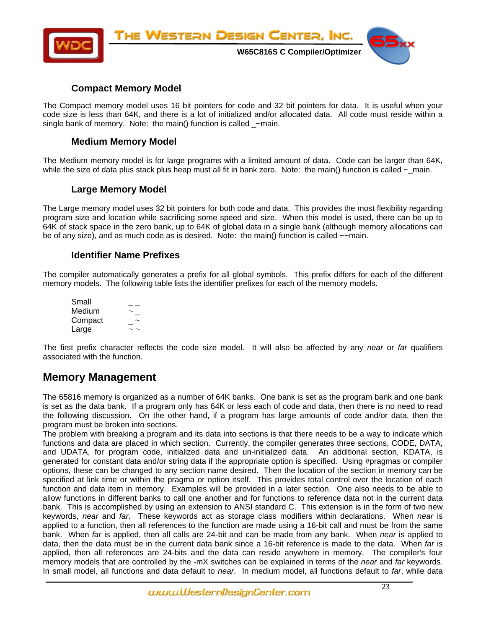<span id="page-22-0"></span>

### **Compact Memory Model**

The Compact memory model uses 16 bit pointers for code and 32 bit pointers for data. It is useful when your code size is less than 64K, and there is a lot of initialized and/or allocated data. All code must reside within a single bank of memory. Note: the main() function is called  $\sim$ main.

### **Medium Memory Model**

The Medium memory model is for large programs with a limited amount of data. Code can be larger than 64K, while the size of data plus stack plus heap must all fit in bank zero. Note: the main() function is called  $\sim$  main.

### **Large Memory Model**

The Large memory model uses 32 bit pointers for both code and data. This provides the most flexibility regarding program size and location while sacrificing some speed and size. When this model is used, there can be up to 64K of stack space in the zero bank, up to 64K of global data in a single bank (although memory allocations can be of any size), and as much code as is desired. Note: the main() function is called ~~main.

### **Identifier Name Prefixes**

The compiler automatically generates a prefix for all global symbols. This prefix differs for each of the different memory models. The following table lists the identifier prefixes for each of the memory models.

| Small   |  |
|---------|--|
| Medium  |  |
| Compact |  |
| Large   |  |

The first prefix character reflects the code size model. It will also be affected by any *near* or *far* qualifiers associated with the function.

# **Memory Management**

The 65816 memory is organized as a number of 64K banks. One bank is set as the program bank and one bank is set as the data bank. If a program only has 64K or less each of code and data, then there is no need to read the following discussion. On the other hand, if a program has large amounts of code and/or data, then the program must be broken into sections.

The problem with breaking a program and its data into sections is that there needs to be a way to indicate which functions and data are placed in which section. Currently, the compiler generates three sections, CODE, DATA, and UDATA, for program code, initialized data and un-initialized data. An additional section, KDATA, is generated for constant data and/or string data if the appropriate option is specified. Using #pragmas or compiler options, these can be changed to any section name desired. Then the location of the section in memory can be specified at link time or within the pragma or option itself. This provides total control over the location of each function and data item in memory. Examples will be provided in a later section. One also needs to be able to allow functions in different banks to call one another and for functions to reference data not in the current data bank. This is accomplished by using an extension to ANSI standard C. This extension is in the form of two new keywords, *near* and *far*. These keywords act as storage class modifiers within declarations. When *near* is applied to a function, then all references to the function are made using a 16-bit call and must be from the same bank. When *far* is applied, then all calls are 24-bit and can be made from any bank. When *near* is applied to data, then the data must be in the current data bank since a 16-bit reference is made to the data. When *far* is applied, then all references are 24-bits and the data can reside anywhere in memory. The compiler's four memory models that are controlled by the -mX switches can be explained in terms of the *near* and *far* keywords. In small model, all functions and data default to *near*. In medium model, all functions default to *far*, while data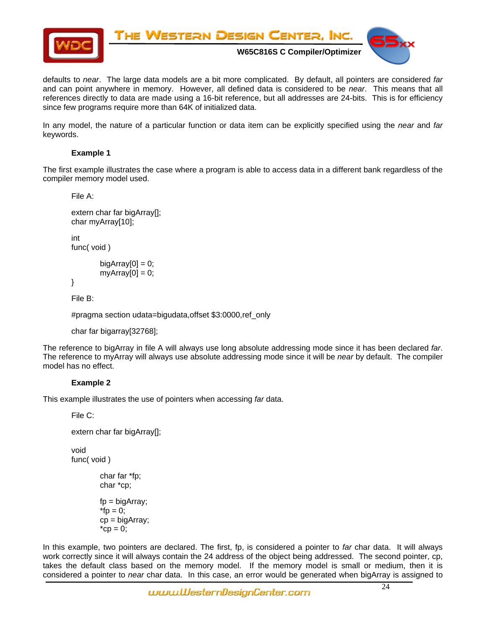

defaults to *near*. The large data models are a bit more complicated. By default, all pointers are considered *far* and can point anywhere in memory. However, all defined data is considered to be *near*. This means that all references directly to data are made using a 16-bit reference, but all addresses are 24-bits. This is for efficiency since few programs require more than 64K of initialized data.

In any model, the nature of a particular function or data item can be explicitly specified using the *near* and *far* keywords.

#### **Example 1**

The first example illustrates the case where a program is able to access data in a different bank regardless of the compiler memory model used.

File A:

```
extern char far bigArray[]; 
char myArray[10]; 
int 
func( void )
```

```
biqArray[0] = 0;
myArray[0] = 0;
```
}

File B:

#pragma section udata=bigudata,offset \$3:0000,ref\_only

```
char far bigarray[32768];
```
The reference to bigArray in file A will always use long absolute addressing mode since it has been declared *far*. The reference to myArray will always use absolute addressing mode since it will be *near* by default. The compiler model has no effect.

#### **Example 2**

This example illustrates the use of pointers when accessing *far* data.

File C:

```
extern char far bigArray[];
```
void func( void )

```
char far *fp; 
char *cp;
```

```
fp = bigArray;*fp = 0;cp = bigArray; 
^*cp = 0;
```
In this example, two pointers are declared. The first, fp, is considered a pointer to *far* char data. It will always work correctly since it will always contain the 24 address of the object being addressed. The second pointer, cp, takes the default class based on the memory model. If the memory model is small or medium, then it is considered a pointer to *near* char data. In this case, an error would be generated when bigArray is assigned to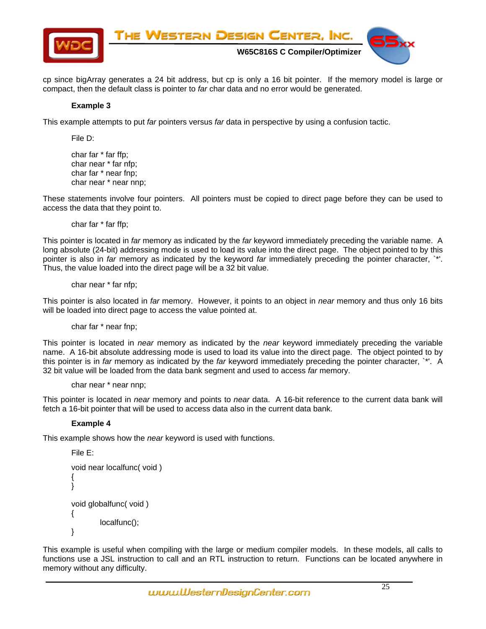

cp since bigArray generates a 24 bit address, but cp is only a 16 bit pointer. If the memory model is large or compact, then the default class is pointer to *far* char data and no error would be generated.

#### **Example 3**

This example attempts to put *far* pointers versus *far* data in perspective by using a confusion tactic.

File D:

char far \* far ffp; char near \* far nfp; char far \* near fnp; char near \* near nnp;

These statements involve four pointers. All pointers must be copied to direct page before they can be used to access the data that they point to.

char far \* far ffp;

This pointer is located in *far* memory as indicated by the *far* keyword immediately preceding the variable name. A long absolute (24-bit) addressing mode is used to load its value into the direct page. The object pointed to by this pointer is also in *far* memory as indicated by the keyword *far* immediately preceding the pointer character, `\*'. Thus, the value loaded into the direct page will be a 32 bit value.

char near \* far nfp;

This pointer is also located in *far* memory. However, it points to an object in *near* memory and thus only 16 bits will be loaded into direct page to access the value pointed at.

char far \* near fnp;

This pointer is located in *near* memory as indicated by the *near* keyword immediately preceding the variable name. A 16-bit absolute addressing mode is used to load its value into the direct page. The object pointed to by this pointer is in *far* memory as indicated by the *far* keyword immediately preceding the pointer character, `\*'. A 32 bit value will be loaded from the data bank segment and used to access *far* memory.

```
char near * near nnp;
```
This pointer is located in *near* memory and points to *near* data. A 16-bit reference to the current data bank will fetch a 16-bit pointer that will be used to access data also in the current data bank.

#### **Example 4**

This example shows how the *near* keyword is used with functions.

```
File E: 
           void near localfunc( void ) 
\left\{\begin{array}{ccc} \end{array}\right\} } 
           void globalfunc( void ) 
            { 
                       localfunc(); 
           }
```
This example is useful when compiling with the large or medium compiler models. In these models, all calls to functions use a JSL instruction to call and an RTL instruction to return. Functions can be located anywhere in memory without any difficulty.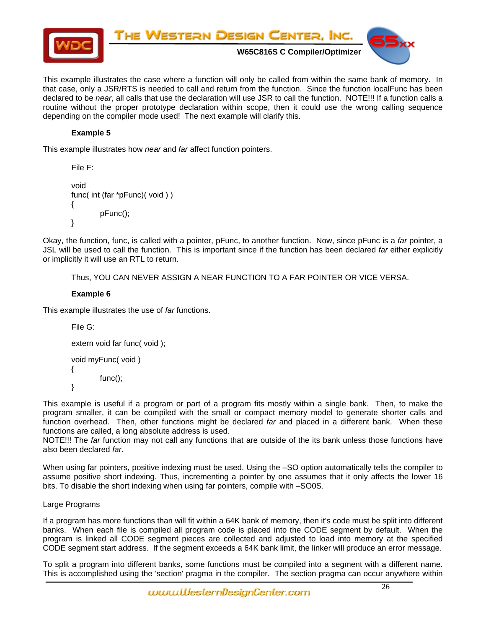

This example illustrates the case where a function will only be called from within the same bank of memory. In that case, only a JSR/RTS is needed to call and return from the function. Since the function localFunc has been declared to be *near*, all calls that use the declaration will use JSR to call the function. NOTE!!! If a function calls a routine without the proper prototype declaration within scope, then it could use the wrong calling sequence depending on the compiler mode used! The next example will clarify this.

#### **Example 5**

This example illustrates how *near* and *far* affect function pointers.

```
File F: 
void 
func( int (far *pFunc)( void ) ) 
 { 
          pFunc(); 
 }
```
Okay, the function, func, is called with a pointer, pFunc, to another function. Now, since pFunc is a *far* pointer, a JSL will be used to call the function. This is important since if the function has been declared *far* either explicitly or implicitly it will use an RTL to return.

Thus, YOU CAN NEVER ASSIGN A NEAR FUNCTION TO A FAR POINTER OR VICE VERSA.

#### **Example 6**

This example illustrates the use of *far* functions.

```
File G: 
extern void far func( void ); 
void myFunc( void ) 
 { 
         func();
```

```
 }
```
This example is useful if a program or part of a program fits mostly within a single bank. Then, to make the program smaller, it can be compiled with the small or compact memory model to generate shorter calls and function overhead. Then, other functions might be declared *far* and placed in a different bank. When these functions are called, a long absolute address is used.

NOTE!!! The *far* function may not call any functions that are outside of the its bank unless those functions have also been declared *far*.

When using far pointers, positive indexing must be used. Using the -SO option automatically tells the compiler to assume positive short indexing. Thus, incrementing a pointer by one assumes that it only affects the lower 16 bits. To disable the short indexing when using far pointers, compile with –SO0S.

#### Large Programs

If a program has more functions than will fit within a 64K bank of memory, then it's code must be split into different banks. When each file is compiled all program code is placed into the CODE segment by default. When the program is linked all CODE segment pieces are collected and adjusted to load into memory at the specified CODE segment start address. If the segment exceeds a 64K bank limit, the linker will produce an error message.

To split a program into different banks, some functions must be compiled into a segment with a different name. This is accomplished using the 'section' pragma in the compiler. The section pragma can occur anywhere within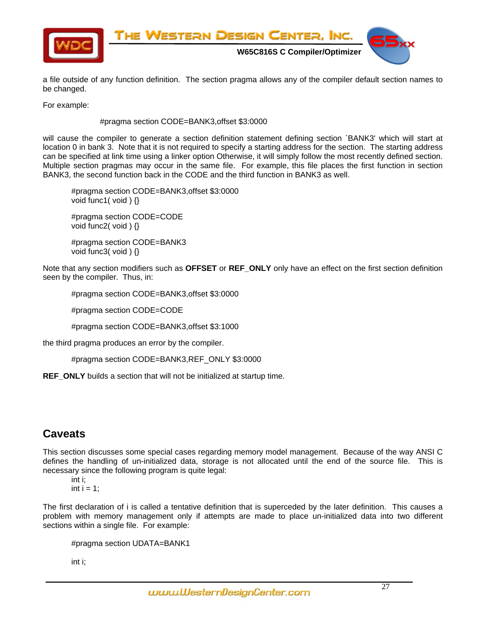<span id="page-26-0"></span>

a file outside of any function definition. The section pragma allows any of the compiler default section names to be changed.

For example:

#pragma section CODE=BANK3,offset \$3:0000

will cause the compiler to generate a section definition statement defining section `BANK3' which will start at location 0 in bank 3. Note that it is not required to specify a starting address for the section. The starting address can be specified at link time using a linker option Otherwise, it will simply follow the most recently defined section. Multiple section pragmas may occur in the same file. For example, this file places the first function in section BANK3, the second function back in the CODE and the third function in BANK3 as well.

#pragma section CODE=BANK3,offset \$3:0000 void func1( void ) {}

#pragma section CODE=CODE void func2( void ) {}

#pragma section CODE=BANK3 void func3( void ) {}

Note that any section modifiers such as **OFFSET** or **REF\_ONLY** only have an effect on the first section definition seen by the compiler. Thus, in:

#pragma section CODE=BANK3,offset \$3:0000

#pragma section CODE=CODE

#pragma section CODE=BANK3,offset \$3:1000

the third pragma produces an error by the compiler.

#pragma section CODE=BANK3,REF\_ONLY \$3:0000

**REF\_ONLY** builds a section that will not be initialized at startup time.

# **Caveats**

This section discusses some special cases regarding memory model management. Because of the way ANSI C defines the handling of un-initialized data, storage is not allocated until the end of the source file. This is necessary since the following program is quite legal:

int i;

int  $i = 1$ ;

The first declaration of i is called a tentative definition that is superceded by the later definition. This causes a problem with memory management only if attempts are made to place un-initialized data into two different sections within a single file. For example:

```
#pragma section UDATA=BANK1
```
int i;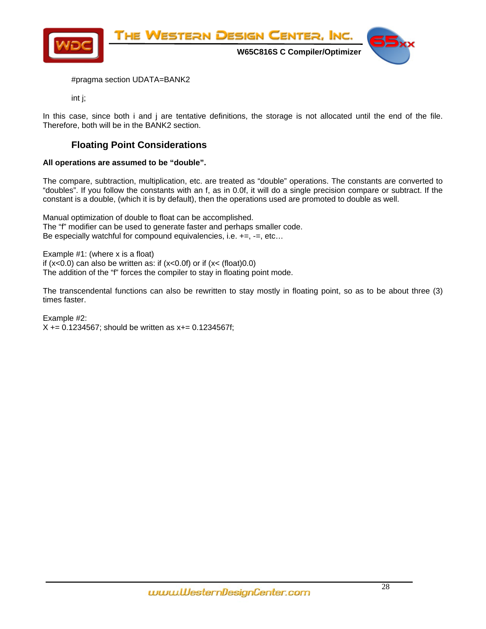<span id="page-27-0"></span>

#pragma section UDATA=BANK2

int j;

In this case, since both i and j are tentative definitions, the storage is not allocated until the end of the file. Therefore, both will be in the BANK2 section.

### **Floating Point Considerations**

#### **All operations are assumed to be "double".**

The compare, subtraction, multiplication, etc. are treated as "double" operations. The constants are converted to "doubles". If you follow the constants with an f, as in 0.0f, it will do a single precision compare or subtract. If the constant is a double, (which it is by default), then the operations used are promoted to double as well.

Manual optimization of double to float can be accomplished. The "f" modifier can be used to generate faster and perhaps smaller code. Be especially watchful for compound equivalencies, i.e. +=, -=, etc…

Example #1: (where x is a float) if  $(x<0.0)$  can also be written as: if  $(x<0.0f)$  or if  $(x<$  (float) $0.0)$ The addition of the "f" forces the compiler to stay in floating point mode.

The transcendental functions can also be rewritten to stay mostly in floating point, so as to be about three (3) times faster.

Example #2:

X += 0.1234567; should be written as x+= 0.1234567f;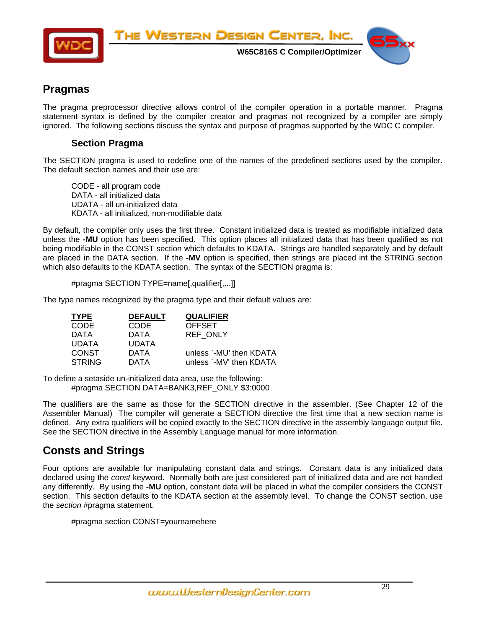<span id="page-28-0"></span>

THE WESTERN DESIGN CENTER, INC.

 **W65C816S C Compiler/Optimizer** 



# **Pragmas**

The pragma preprocessor directive allows control of the compiler operation in a portable manner. Pragma statement syntax is defined by the compiler creator and pragmas not recognized by a compiler are simply ignored. The following sections discuss the syntax and purpose of pragmas supported by the WDC C compiler.

### **Section Pragma**

The SECTION pragma is used to redefine one of the names of the predefined sections used by the compiler. The default section names and their use are:

CODE - all program code DATA - all initialized data UDATA - all un-initialized data KDATA - all initialized, non-modifiable data

By default, the compiler only uses the first three. Constant initialized data is treated as modifiable initialized data unless the **-MU** option has been specified. This option places all initialized data that has been qualified as not being modifiable in the CONST section which defaults to KDATA. Strings are handled separately and by default are placed in the DATA section. If the **-MV** option is specified, then strings are placed int the STRING section which also defaults to the KDATA section. The syntax of the SECTION pragma is:

#pragma SECTION TYPE=name[,qualifier[,...]]

The type names recognized by the pragma type and their default values are:

| <b>TYPE</b>   | <b>DEFAULT</b> | <b>QUALIFIER</b>        |
|---------------|----------------|-------------------------|
| <b>CODE</b>   | CODE           | <b>OFFSET</b>           |
| DATA          | DATA           | <b>REF ONLY</b>         |
| <b>UDATA</b>  | <b>UDATA</b>   |                         |
| <b>CONST</b>  | DATA           | unless `-MU' then KDATA |
| <b>STRING</b> | DATA           | unless `-MV' then KDATA |

To define a setaside un-initialized data area, use the following: #pragma SECTION DATA=BANK3,REF\_ONLY \$3:0000

The qualifiers are the same as those for the SECTION directive in the assembler. (See Chapter 12 of the Assembler Manual) The compiler will generate a SECTION directive the first time that a new section name is defined. Any extra qualifiers will be copied exactly to the SECTION directive in the assembly language output file. See the SECTION directive in the Assembly Language manual for more information.

# **Consts and Strings**

Four options are available for manipulating constant data and strings. Constant data is any initialized data declared using the *const* keyword. Normally both are just considered part of initialized data and are not handled any differently. By using the **-MU** option, constant data will be placed in what the compiler considers the CONST section. This section defaults to the KDATA section at the assembly level. To change the CONST section, use the *section* #pragma statement.

#pragma section CONST=yournamehere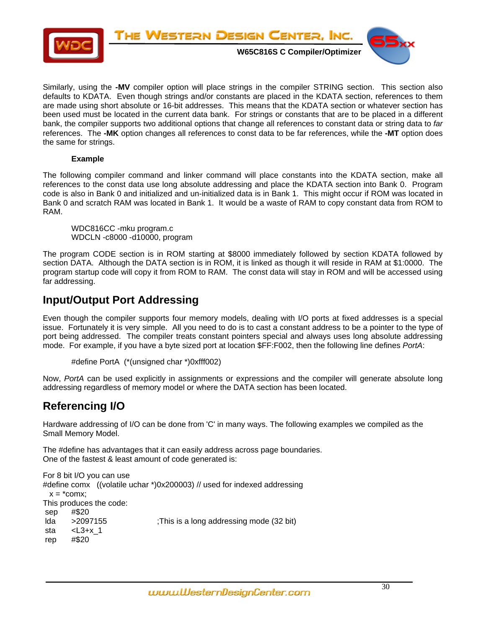<span id="page-29-0"></span>

Similarly, using the **-MV** compiler option will place strings in the compiler STRING section. This section also defaults to KDATA. Even though strings and/or constants are placed in the KDATA section, references to them are made using short absolute or 16-bit addresses. This means that the KDATA section or whatever section has been used must be located in the current data bank. For strings or constants that are to be placed in a different bank, the compiler supports two additional options that change all references to constant data or string data to *far* references. The **-MK** option changes all references to const data to be far references, while the **-MT** option does the same for strings.

#### **Example**

The following compiler command and linker command will place constants into the KDATA section, make all references to the const data use long absolute addressing and place the KDATA section into Bank 0. Program code is also in Bank 0 and initialized and un-initialized data is in Bank 1. This might occur if ROM was located in Bank 0 and scratch RAM was located in Bank 1. It would be a waste of RAM to copy constant data from ROM to RAM.

WDC816CC -mku program.c WDCLN -c8000 -d10000, program

The program CODE section is in ROM starting at \$8000 immediately followed by section KDATA followed by section DATA. Although the DATA section is in ROM, it is linked as though it will reside in RAM at \$1:0000. The program startup code will copy it from ROM to RAM. The const data will stay in ROM and will be accessed using far addressing.

# **Input/Output Port Addressing**

Even though the compiler supports four memory models, dealing with I/O ports at fixed addresses is a special issue. Fortunately it is very simple. All you need to do is to cast a constant address to be a pointer to the type of port being addressed. The compiler treats constant pointers special and always uses long absolute addressing mode. For example, if you have a byte sized port at location \$FF:F002, then the following line defines *PortA*:

```
#define PortA (*(unsigned char *)0xfff002)
```
Now, *PortA* can be used explicitly in assignments or expressions and the compiler will generate absolute long addressing regardless of memory model or where the DATA section has been located.

# **Referencing I/O**

Hardware addressing of I/O can be done from 'C' in many ways. The following examples we compiled as the Small Memory Model.

The #define has advantages that it can easily address across page boundaries. One of the fastest & least amount of code generated is:

For 8 bit I/O you can use #define comx ((volatile uchar \*)0x200003) // used for indexed addressing  $x = *comx;$ This produces the code: sep #\$20 lda >2097155 ;This is a long addressing mode (32 bit) sta  $\leq$ L3+x 1 rep #\$20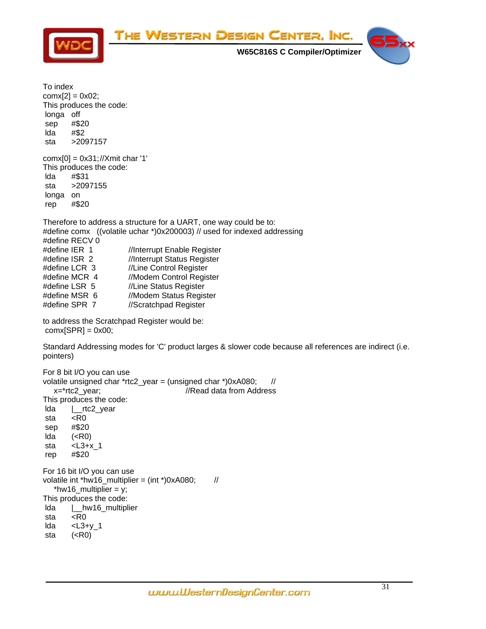

To index  $conv[2] = 0x02;$ This produces the code: longa off sep #\$20 lda #\$2 sta >2097157 comx[0] = 0x31; //Xmit char '1' This produces the code: lda #\$31 sta >2097155 longa on rep #\$20 Therefore to address a structure for a UART, one way could be to: #define comx ((volatile uchar \*)0x200003) // used for indexed addressing #define RECV 0 #define IER 1 //Interrupt Enable Register #define ISR 2 //Interrupt Status Register #define LCR 3 //Line Control Register #define MCR 4 //Modem Control Register #define LSR 5 //Line Status Register #define MSR 6 //Modem Status Register #define SPR 7 //Scratchpad Register to address the Scratchpad Register would be:  $conv[SPR] = 0x00;$ Standard Addressing modes for 'C' product larges & slower code because all references are indirect (i.e. pointers) For 8 bit I/O you can use volatile unsigned char \*rtc2 year = (unsigned char \*)0xA080; // x=\*rtc2\_year; //Read data from Address This produces the code: lda |\_\_rtc2\_year sta <R0 sep #\$20 lda (<R0) sta <L3+x\_1 rep #\$20 For 16 bit I/O you can use volatile int \*hw16\_multiplier = (int \*)0xA080;  $\frac{1}{2}$ \*hw16\_multiplier =  $y$ ; This produces the code: lda |\_\_hw16\_multiplier sta <R0 lda <L3+y\_1 sta (<R0)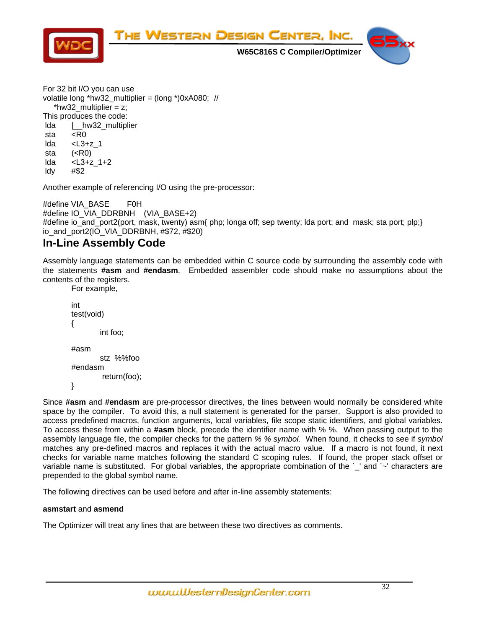<span id="page-31-0"></span>

For 32 bit I/O you can use volatile long \*hw32\_multiplier = (long \*)0xA080; // \*hw32 multiplier =  $z$ : This produces the code: lda |\_\_hw32\_multiplier sta <R0 lda <L3+z\_1 sta (<R0) lda <L3+z\_1+2 ldy #\$2

Another example of referencing I/O using the pre-processor:

#define VIA\_BASE F0H #define IO\_VIA\_DDRBNH (VIA\_BASE+2) #define io\_and\_port2(port, mask, twenty) asm{ php; longa off; sep twenty; lda port; and mask; sta port; plp;} io\_and\_port2(IO\_VIA\_DDRBNH, #\$72, #\$20)

# **In-Line Assembly Code**

Assembly language statements can be embedded within C source code by surrounding the assembly code with the statements **#asm** and **#endasm**.Embedded assembler code should make no assumptions about the contents of the registers.

 For example, int test(void) { int foo; #asm stz %%foo #endasm return(foo);

}

Since **#asm** and **#endasm** are pre-processor directives, the lines between would normally be considered white space by the compiler. To avoid this, a null statement is generated for the parser. Support is also provided to access predefined macros, function arguments, local variables, file scope static identifiers, and global variables. To access these from within a **#asm** block, precede the identifier name with % %. When passing output to the assembly language file, the compiler checks for the pattern *% % symbol*. When found, it checks to see if *symbol* matches any pre-defined macros and replaces it with the actual macro value. If a macro is not found, it next checks for variable name matches following the standard C scoping rules. If found, the proper stack offset or variable name is substituted. For global variables, the appropriate combination of the `\_' and `~' characters are prepended to the global symbol name.

The following directives can be used before and after in-line assembly statements:

#### **asmstart** and **asmend**

The Optimizer will treat any lines that are between these two directives as comments.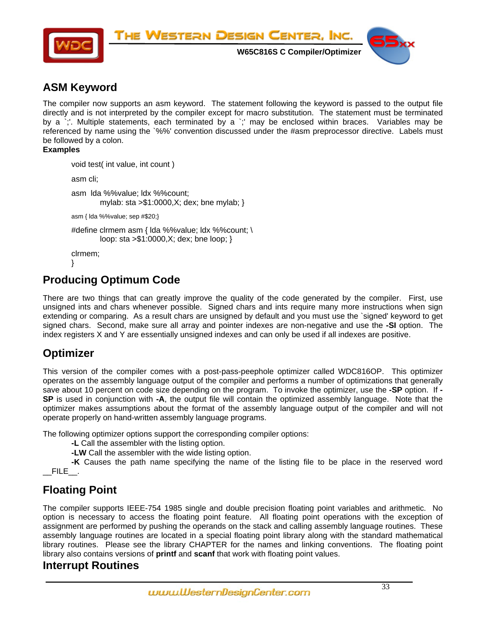<span id="page-32-0"></span>

# **ASM Keyword**

The compiler now supports an asm keyword. The statement following the keyword is passed to the output file directly and is not interpreted by the compiler except for macro substitution. The statement must be terminated by a `;'. Multiple statements, each terminated by a `;' may be enclosed within braces. Variables may be referenced by name using the `%%' convention discussed under the #asm preprocessor directive. Labels must be followed by a colon.

#### **Examples**

```
void test( int value, int count ) 
         asm cli; 
         asm lda %%value; ldx %%count; 
                 mylab: sta >$1:0000,X; dex; bne mylab; } 
         asm { lda %%value; sep #$20;} 
        #define clrmem asm { lda %%value; ldx %%count; \ 
                loop: sta >$1:0000,X; dex; bne loop; } 
         clrmem; 
 }
```
# **Producing Optimum Code**

There are two things that can greatly improve the quality of the code generated by the compiler. First, use unsigned ints and chars whenever possible. Signed chars and ints require many more instructions when sign extending or comparing. As a result chars are unsigned by default and you must use the `signed' keyword to get signed chars. Second, make sure all array and pointer indexes are non-negative and use the **-SI** option. The index registers X and Y are essentially unsigned indexes and can only be used if all indexes are positive.

# **Optimizer**

This version of the compiler comes with a post-pass-peephole optimizer called WDC816OP. This optimizer operates on the assembly language output of the compiler and performs a number of optimizations that generally save about 10 percent on code size depending on the program. To invoke the optimizer, use the **-SP** option. If **- SP** is used in conjunction with **-A**, the output file will contain the optimized assembly language. Note that the optimizer makes assumptions about the format of the assembly language output of the compiler and will not operate properly on hand-written assembly language programs.

The following optimizer options support the corresponding compiler options:

**-L** Call the assembler with the listing option.

**-LW** Call the assembler with the wide listing option.

**-K** Causes the path name specifying the name of the listing file to be place in the reserved word \_\_FILE\_\_.

# **Floating Point**

The compiler supports IEEE-754 1985 single and double precision floating point variables and arithmetic. No option is necessary to access the floating point feature. All floating point operations with the exception of assignment are performed by pushing the operands on the stack and calling assembly language routines. These assembly language routines are located in a special floating point library along with the standard mathematical library routines. Please see the library CHAPTER for the names and linking conventions. The floating point library also contains versions of **printf** and **scanf** that work with floating point values.

# **Interrupt Routines**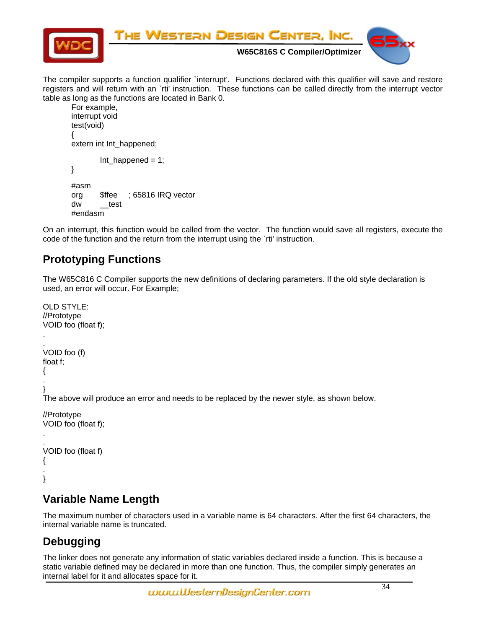<span id="page-33-0"></span>

The compiler supports a function qualifier `interrupt'. Functions declared with this qualifier will save and restore registers and will return with an `rti' instruction. These functions can be called directly from the interrupt vector table as long as the functions are located in Bank 0.

```
 For example, 
interrupt void 
test(void) 
 { 
 extern int Int_happened; 
        Int\_happed = 1; } 
#asm 
 org $ffee ; 65816 IRQ vector 
dw<sub>_test</sub>
#endasm
```
On an interrupt, this function would be called from the vector. The function would save all registers, execute the code of the function and the return from the interrupt using the `rti' instruction.

# **Prototyping Functions**

The W65C816 C Compiler supports the new definitions of declaring parameters. If the old style declaration is used, an error will occur. For Example;

```
OLD STYLE: 
//Prototype 
VOID foo (float f); 
. 
. 
VOID foo (f) 
float f; 
{ 
. 
} 
The above will produce an error and needs to be replaced by the newer style, as shown below. 
//Prototype 
VOID foo (float f); 
. 
. 
VOID foo (float f) 
{ 
. 
}
```
# **Variable Name Length**

The maximum number of characters used in a variable name is 64 characters. After the first 64 characters, the internal variable name is truncated.

# **Debugging**

The linker does not generate any information of static variables declared inside a function. This is because a static variable defined may be declared in more than one function. Thus, the compiler simply generates an internal label for it and allocates space for it.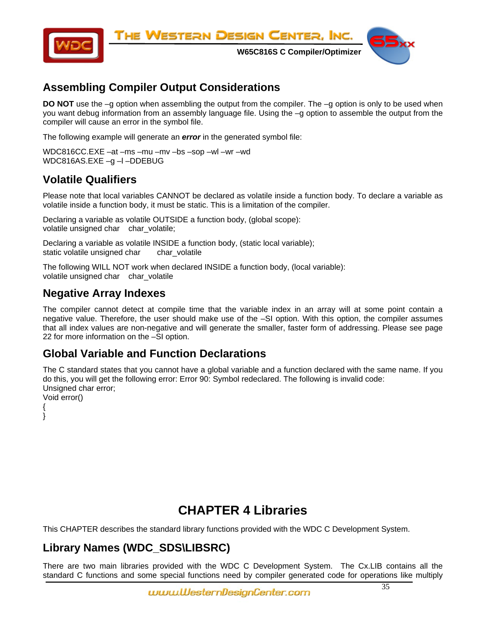<span id="page-34-0"></span>

# **Assembling Compiler Output Considerations**

**DO NOT** use the -g option when assembling the output from the compiler. The -g option is only to be used when you want debug information from an assembly language file. Using the –g option to assemble the output from the compiler will cause an error in the symbol file.

The following example will generate an *error* in the generated symbol file:

WDC816CC.EXE –at –ms –mu –mv –bs –sop –wl –wr –wd WDC816AS.EXE -g -l -DDEBUG

# **Volatile Qualifiers**

Please note that local variables CANNOT be declared as volatile inside a function body. To declare a variable as volatile inside a function body, it must be static. This is a limitation of the compiler.

Declaring a variable as volatile OUTSIDE a function body, (global scope): volatile unsigned char char\_volatile;

Declaring a variable as volatile INSIDE a function body, (static local variable); static volatile unsigned char char volatile

The following WILL NOT work when declared INSIDE a function body, (local variable): volatile unsigned char char\_volatile

# **Negative Array Indexes**

The compiler cannot detect at compile time that the variable index in an array will at some point contain a negative value. Therefore, the user should make use of the –SI option. With this option, the compiler assumes that all index values are non-negative and will generate the smaller, faster form of addressing. Please see page 22 for more information on the –SI option.

# **Global Variable and Function Declarations**

The C standard states that you cannot have a global variable and a function declared with the same name. If you do this, you will get the following error: Error 90: Symbol redeclared. The following is invalid code: Unsigned char error; Void error()

{

}

# **CHAPTER 4 Libraries**

This CHAPTER describes the standard library functions provided with the WDC C Development System.

# **Library Names (WDC\_SDS\LIBSRC)**

There are two main libraries provided with the WDC C Development System. The Cx.LIB contains all the standard C functions and some special functions need by compiler generated code for operations like multiply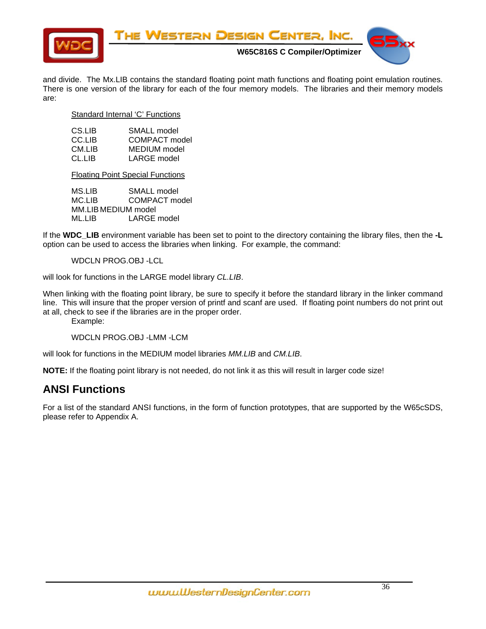<span id="page-35-0"></span>

and divide. The Mx.LIB contains the standard floating point math functions and floating point emulation routines. There is one version of the library for each of the four memory models. The libraries and their memory models are:

Standard Internal 'C' Functions

| CS.LIB | SMALL model   |
|--------|---------------|
| CC.LIB | COMPACT model |
| CM.LIB | MEDIUM model  |
| CL.LIB | LARGE model   |

Floating Point Special Functions

MS.LIB SMALL model MC.LIB COMPACT model MM.LIB MEDIUM model ML.LIB LARGE model

If the **WDC\_LIB** environment variable has been set to point to the directory containing the library files, then the **-L** option can be used to access the libraries when linking. For example, the command:

WDCLN PROG.OBJ -LCL

will look for functions in the LARGE model library *CL.LIB*.

When linking with the floating point library, be sure to specify it before the standard library in the linker command line. This will insure that the proper version of printf and scanf are used. If floating point numbers do not print out at all, check to see if the libraries are in the proper order.

Example:

WDCLN PROG.OBJ -LMM -LCM

will look for functions in the MEDIUM model libraries *MM.LIB* and *CM.LIB*.

**NOTE:** If the floating point library is not needed, do not link it as this will result in larger code size!

# **ANSI Functions**

For a list of the standard ANSI functions, in the form of function prototypes, that are supported by the W65cSDS, please refer to Appendix A.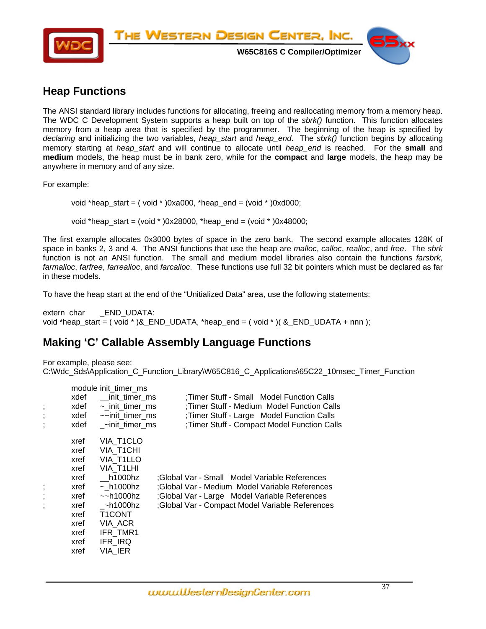<span id="page-36-0"></span>

# **Heap Functions**

The ANSI standard library includes functions for allocating, freeing and reallocating memory from a memory heap. The WDC C Development System supports a heap built on top of the *sbrk()* function. This function allocates memory from a heap area that is specified by the programmer. The beginning of the heap is specified by *declaring* and initializing the two variables, *heap\_start* and *heap\_end*. The *sbrk()* function begins by allocating memory starting at *heap\_start* and will continue to allocate until *heap\_end* is reached. For the **small** and **medium** models, the heap must be in bank zero, while for the **compact** and **large** models, the heap may be anywhere in memory and of any size.

For example:

void \*heap start =  $($  void \*  $)0xa000$ , \*heap end =  $(void * )0xd000$ ;

void \*heap\_start = (void \* )0x28000, \*heap\_end = (void \* )0x48000;

The first example allocates 0x3000 bytes of space in the zero bank. The second example allocates 128K of space in banks 2, 3 and 4. The ANSI functions that use the heap are *malloc*, *calloc*, *realloc*, and *free*. The *sbrk* function is not an ANSI function. The small and medium model libraries also contain the functions *farsbrk*, *farmalloc*, *farfree*, *farrealloc*, and *farcalloc*. These functions use full 32 bit pointers which must be declared as far in these models.

To have the heap start at the end of the "Unitialized Data" area, use the following statements:

extern char \_\_END\_UDATA: void \*heap\_start =  $(void * )$ &\_END\_UDATA, \*heap\_end =  $(void * )$  $($  &\_END\_UDATA + nnn  $);$ 

# **Making 'C' Callable Assembly Language Functions**

For example, please see: C:\Wdc\_Sds\Application\_C\_Function\_Library\W65C816\_C\_Applications\65C22\_10msec\_Timer\_Function

|                          |      | module init_timer_ms     |                                                 |
|--------------------------|------|--------------------------|-------------------------------------------------|
|                          | xdef | init timer ms            | :Timer Stuff - Small Model Function Calls       |
|                          | xdef | $\sim$ init timer ms     | Timer Stuff - Medium Model Function Calls       |
| $\overline{\phantom{a}}$ | xdef | $\sim$ init timer ms     | ; Timer Stuff - Large Model Function Calls      |
|                          | xdef | ~init timer ms           | ;Timer Stuff - Compact Model Function Calls     |
|                          | xref | VIA T1CLO                |                                                 |
|                          | xref | VIA T1CHI                |                                                 |
|                          | xref | VIA T1LLO                |                                                 |
|                          | xref | VIA T1LHI                |                                                 |
|                          | xref | h1000hz                  | ;Global Var - Small Model Variable References   |
| $\overline{\phantom{a}}$ | xref | $\sim$ h1000hz           | ;Global Var - Medium Model Variable References  |
| $\overline{\phantom{a}}$ | xref | $\sim$ h1000 $\hbox{hz}$ | ;Global Var - Large Model Variable References   |
|                          | xref | ~h1000hz                 | ;Global Var - Compact Model Variable References |
|                          | xref | T1CONT                   |                                                 |
|                          | xref | VIA_ACR                  |                                                 |
|                          | xref | IFR TMR1                 |                                                 |
|                          | xref | IFR_IRQ                  |                                                 |
|                          | xref | VIA IER                  |                                                 |
|                          |      |                          |                                                 |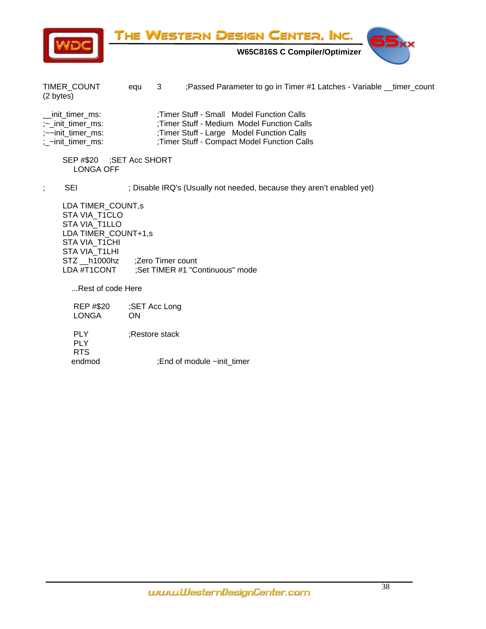

THE WESTERN DESIGN CENTER, INC.

 **W65C816S C Compiler/Optimizer** 



TIMER\_COUNT equ 3 ;Passed Parameter to go in Timer #1 Latches - Variable \_\_timer\_count (2 bytes)

| __init_timer_ms:              | : Timer Stuff - Small Model Function Calls   |
|-------------------------------|----------------------------------------------|
| $\sim$ init timer ms:         | Timer Stuff - Medium Model Function Calls    |
| $\sim$ init timer ms:         | ; Timer Stuff - Large Model Function Calls   |
| $\frac{1}{2}$ -init_timer_ms: | ; Timer Stuff - Compact Model Function Calls |

 SEP #\$20 ;SET Acc SHORT LONGA OFF

; SEI : SEI ; Disable IRQ's (Usually not needed, because they aren't enabled yet)

 LDA TIMER\_COUNT,s STA VIA\_T1CLO STA VIA T1LLO LDA TIMER\_COUNT+1,s STA VIA T1CHI STA VIA\_T1LHI STZ \_\_h1000hz ;Zero Timer count LDA #T1CONT ;Set TIMER #1 "Continuous" mode

...Rest of code Here

| <b>REP #\$20</b><br><b>LONGA</b> | ;SET Acc Long<br>OΝ        |
|----------------------------------|----------------------------|
| PI Y<br>PI Y<br><b>RTS</b>       | :Restore stack             |
| endmod                           | :End of module ~init timer |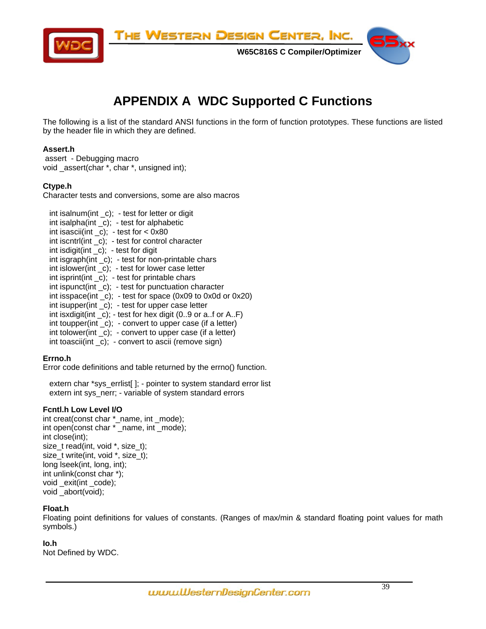<span id="page-38-0"></span>

# **APPENDIX A WDC Supported C Functions**

The following is a list of the standard ANSI functions in the form of function prototypes. These functions are listed by the header file in which they are defined.

# **Assert.h**

 assert - Debugging macro void \_assert(char \*, char \*, unsigned int);

# **Ctype.h**

Character tests and conversions, some are also macros

 int isalnum(int \_c); - test for letter or digit int isalpha(int \_c); - test for alphabetic int isascii(int  $_c$ ); - test for < 0x80 int iscntrl(int \_c); - test for control character int isdigit(int \_c); - test for digit int isgraph(int \_c); - test for non-printable chars int islower(int \_c); - test for lower case letter int isprint(int \_c); - test for printable chars  $int$  int ispunct(int  $c$ ); - test for punctuation character int isspace(int \_c); - test for space (0x09 to 0x0d or 0x20) int isupper(int \_c); - test for upper case letter int isxdigit(int  $\lfloor c \rfloor$ ; - test for hex digit (0..9 or a..f or A..F) int toupper(int \_c); - convert to upper case (if a letter) int tolower(int  $\,$  c); - convert to upper case (if a letter)  $int$  toascii(int  $c$ ); - convert to ascii (remove sign)

# **Errno.h**

Error code definitions and table returned by the errno() function.

 extern char \*sys\_errlist[ ]; - pointer to system standard error list extern int sys\_nerr; - variable of system standard errors

# **Fcntl.h Low Level I/O**

int creat(const char \*\_name, int \_mode); int open(const char \* \_name, int \_mode); int close(int); size\_t read(int, void \*, size\_t); size t write(int, void \*, size t); long lseek(int, long, int); int unlink(const char \*); void \_exit(int \_code); void \_abort(void);

# **Float.h**

Floating point definitions for values of constants. (Ranges of max/min & standard floating point values for math symbols.)

# **Io.h**

Not Defined by WDC.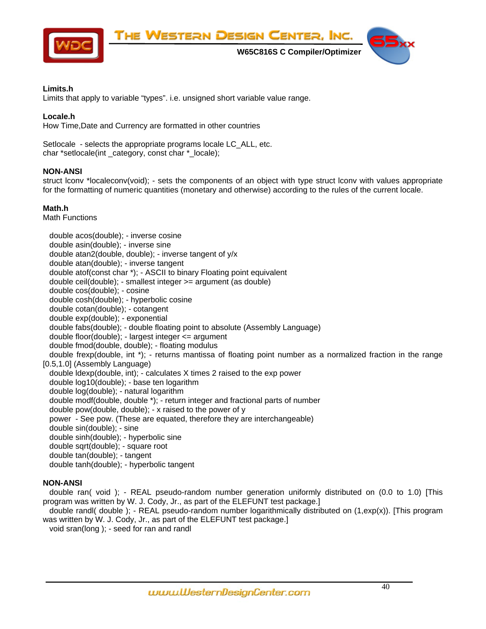

# **Limits.h**

I

Limits that apply to variable "types". i.e. unsigned short variable value range.

# **Locale.h**

How Time,Date and Currency are formatted in other countries

Setlocale - selects the appropriate programs locale LC\_ALL, etc. char \*setlocale(int \_category, const char \*\_locale);

# **NON-ANSI**

struct lconv \*localeconv(void); - sets the components of an object with type struct lconv with values appropriate for the formatting of numeric quantities (monetary and otherwise) according to the rules of the current locale.

# **Math.h**

Math Functions

 double acos(double); - inverse cosine double asin(double); - inverse sine double atan2(double, double); - inverse tangent of y/x double atan(double); - inverse tangent double atof(const char \*); - ASCII to binary Floating point equivalent double ceil(double); - smallest integer >= argument (as double) double cos(double); - cosine double cosh(double); - hyperbolic cosine double cotan(double); - cotangent double exp(double); - exponential double fabs(double); - double floating point to absolute (Assembly Language) double floor(double); - largest integer <= argument double fmod(double, double); - floating modulus double frexp(double, int \*); - returns mantissa of floating point number as a normalized fraction in the range [0.5,1.0] (Assembly Language) double ldexp(double, int); - calculates X times 2 raised to the exp power double log10(double); - base ten logarithm double log(double); - natural logarithm double modf(double, double \*); - return integer and fractional parts of number double pow(double, double); - x raised to the power of y power - See pow. (These are equated, therefore they are interchangeable) double sin(double); - sine double sinh(double); - hyperbolic sine double sqrt(double); - square root double tan(double); - tangent double tanh(double); - hyperbolic tangent

# **NON-ANSI**

 double ran( void ); - REAL pseudo-random number generation uniformly distributed on (0.0 to 1.0) [This program was written by W. J. Cody, Jr., as part of the ELEFUNT test package.]

 double randl( double ); - REAL pseudo-random number logarithmically distributed on (1,exp(x)). [This program was written by W. J. Cody, Jr., as part of the ELEFUNT test package.] void sran(long ); - seed for ran and randl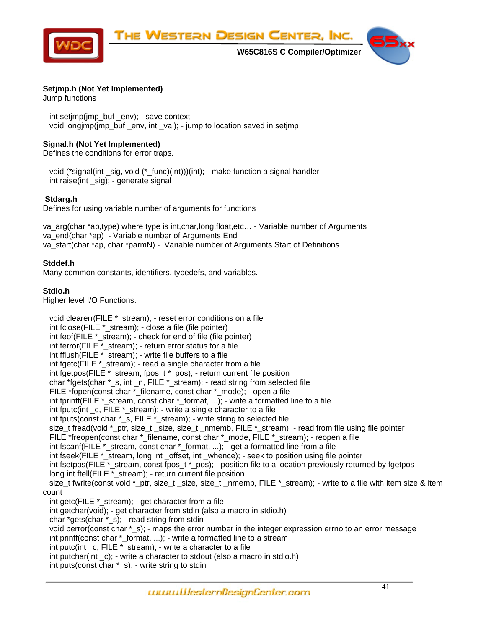

# **Setjmp.h (Not Yet Implemented)**

Jump functions

 int setjmp(jmp\_buf \_env); - save context void longimp(imp\_buf \_env, int \_val); - jump to location saved in setimp

# **Signal.h (Not Yet Implemented)**

Defines the conditions for error traps.

 void (\*signal(int \_sig, void (\*\_func)(int)))(int); - make function a signal handler int raise(int sig); - generate signal

# **Stdarg.h**

Defines for using variable number of arguments for functions

va\_arg(char \*ap,type) where type is int,char,long,float,etc... - Variable number of Arguments va\_end(char \*ap) - Variable number of Arguments End va\_start(char \*ap, char \*parmN) - Variable number of Arguments Start of Definitions

# **Stddef.h**

Many common constants, identifiers, typedefs, and variables.

# **Stdio.h**

Higher level I/O Functions.

void clearerr(FILE \* stream); - reset error conditions on a file int fclose(FILE \*\_stream); - close a file (file pointer) int feof(FILE \* stream); - check for end of file (file pointer) int ferror(FILE \* stream); - return error status for a file int fflush(FILE \*\_stream); - write file buffers to a file int fgetc(FILE \*\_stream); - read a single character from a file int fgetpos(FILE \*\_stream, fpos\_t \*\_pos); - return current file position char \*fgets(char \*\_s, int \_n, FILE \*\_stream); - read string from selected file FILE \*fopen(const char \* filename, const char \* mode); - open a file int fprintf(FILE \*\_stream, const char \*\_format, ...); - write a formatted line to a file int fputc(int \_c, FILE \*\_stream); - write a single character to a file int fputs(const char \*\_s, FILE \*\_stream); - write string to selected file size\_t fread(void \*\_ptr, size\_t \_size, size\_t \_nmemb, FILE \*\_stream); - read from file using file pointer FILE \*freopen(const char \*\_filename, const char \*\_mode, FILE \*\_stream); - reopen a file int fscanf(FILE  $*$  stream, const char  $*$  format, ...); - get a formatted line from a file int fseek(FILE \*\_stream, long int \_offset, int \_whence); - seek to position using file pointer int fsetpos(FILE \*\_stream, const fpos\_t \*\_pos); - position file to a location previously returned by fgetpos long int ftell(FILE \*\_stream); - return current file position size\_t fwrite(const void \*\_ptr, size\_t \_size, size\_t \_nmemb, FILE \*\_stream); - write to a file with item size & item count int getc(FILE  $*$  stream); - get character from a file int getchar(void); - get character from stdin (also a macro in stdio.h) char \*gets(char \*\_s); - read string from stdin void perror(const char \*\_s); - maps the error number in the integer expression errno to an error message int printf(const char \* format, ...); - write a formatted line to a stream int putc(int  $c$ , FILE  $*$  stream); - write a character to a file int putchar(int \_c); - write a character to stdout (also a macro in stdio.h) int puts(const char \*\_s); - write string to stdin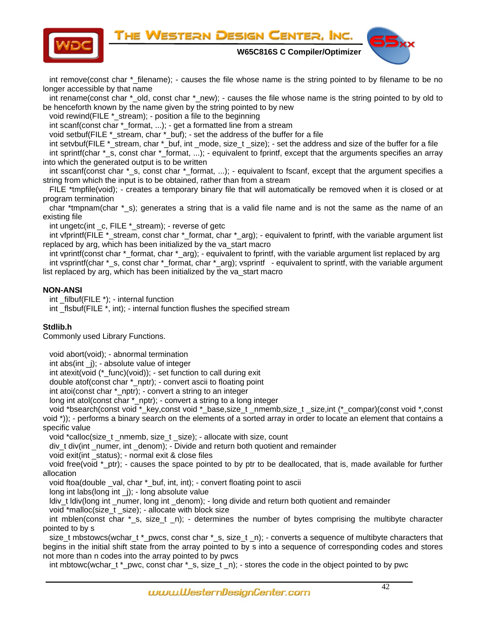

int remove(const char \* filename); - causes the file whose name is the string pointed to by filename to be no longer accessible by that name

int rename(const char \* old, const char \* new); - causes the file whose name is the string pointed to by old to be henceforth known by the name given by the string pointed to by new

void rewind(FILE \* stream); - position a file to the beginning

int scanf(const char \*\_format, ...); - get a formatted line from a stream

void setbuf(FILE \*\_stream, char \*\_buf); - set the address of the buffer for a file

 int setvbuf(FILE \*\_stream, char \*\_buf, int \_mode, size\_t \_size); - set the address and size of the buffer for a file int sprintf(char \*\_s, const char \*\_format, ...); - equivalent to fprintf, except that the arguments specifies an array into which the generated output is to be written

 int sscanf(const char \*\_s, const char \*\_format, ...); - equivalent to fscanf, except that the argument specifies a string from which the input is to be obtained, rather than from a stream

 FILE \*tmpfile(void); - creates a temporary binary file that will automatically be removed when it is closed or at program termination

char \*tmpnam(char \* s); generates a string that is a valid file name and is not the same as the name of an existing file

int ungetc(int \_c, FILE \*\_stream); - reverse of getc

int vfprintf(FILE \*\_stream, const char \*\_format, char \*\_arg); - equivalent to fprintf, with the variable argument list replaced by arg, which has been initialized by the va\_start macro

int vprintf(const char \*\_format, char \*\_arg); - equivalent to fprintf, with the variable argument list replaced by arg int vsprintf(char \*\_s, const char \*\_format, char \*\_arg); vsprintf - equivalent to sprintf, with the variable argument list replaced by arg, which has been initialized by the va\_start macro

# **NON-ANSI**

I

int  $filbut(FILE^*)$ ; - internal function

int \_flsbuf(FILE \*, int); - internal function flushes the specified stream

# **Stdlib.h**

Commonly used Library Functions.

void abort(void); - abnormal termination

int abs(int \_j); - absolute value of integer

int atexit(void (\*\_func)(void)); - set function to call during exit

double atof(const char \*\_nptr); - convert ascii to floating point

int atoi(const char \*\_nptr); - convert a string to an integer

long int atol(const char \*\_nptr); - convert a string to a long integer

 void \*bsearch(const void \*\_key,const void \*\_base,size\_t \_nmemb,size\_t \_size,int (\*\_compar)(const void \*,const void \*)); - performs a binary search on the elements of a sorted array in order to locate an element that contains a specific value

void \*calloc(size\_t \_nmemb, size\_t \_size); - allocate with size, count

div\_t div(int \_numer, int \_denom); - Divide and return both quotient and remainder

void exit(int \_status); - normal exit & close files

void free(void \* ptr); - causes the space pointed to by ptr to be deallocated, that is, made available for further allocation

void ftoa(double \_val, char \*\_buf, int, int); - convert floating point to ascii

long int labs(long int \_j); - long absolute value

ldiv\_t ldiv(long int \_numer, long int \_denom); - long divide and return both quotient and remainder

void \*malloc(size\_t\_size); - allocate with block size

int mblen(const char  $*_s$ , size\_t \_n); - determines the number of bytes comprising the multibyte character pointed to by s

 size\_t mbstowcs(wchar\_t \*\_pwcs, const char \*\_s, size\_t \_n); - converts a sequence of multibyte characters that begins in the initial shift state from the array pointed to by s into a sequence of corresponding codes and stores not more than n codes into the array pointed to by pwcs

int mbtowc(wchar\_t \*\_pwc, const char \*\_s, size\_t \_n); - stores the code in the object pointed to by pwc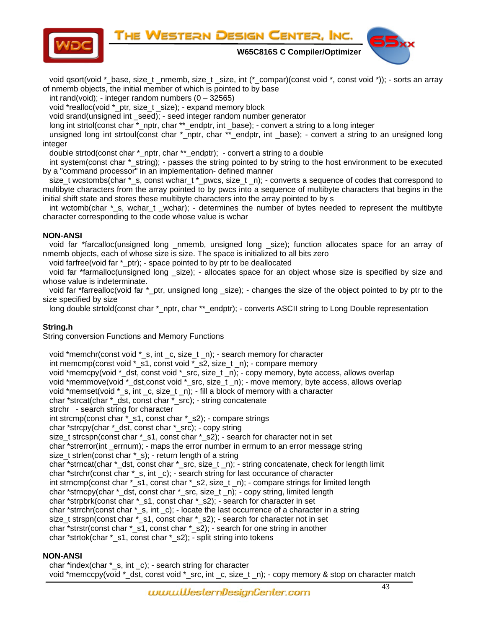THE WESTERN DESIGN CENTER, INC.



 **W65C816S C Compiler/Optimizer** 



void qsort(void \*\_base, size\_t \_nmemb, size\_t \_size, int (\*\_compar)(const void \*, const void \*)); - sorts an array of nmemb objects, the initial member of which is pointed to by base

int rand(void); - integer random numbers  $(0 - 32565)$ 

void \*realloc(void \*\_ptr, size\_t \_size); - expand memory block

void srand(unsigned int \_seed); - seed integer random number generator

long int strtol(const char \*\_nptr, char \*\*\_endptr, int \_base); - convert a string to a long integer

 unsigned long int strtoul(const char \*\_nptr, char \*\*\_endptr, int \_base); - convert a string to an unsigned long integer

double strtod(const char \*\_nptr, char \*\*\_endptr); - convert a string to a double

 int system(const char \*\_string); - passes the string pointed to by string to the host environment to be executed by a "command processor" in an implementation- defined manner

 size\_t wcstombs(char \*\_s, const wchar\_t \*\_pwcs, size\_t \_n); - converts a sequence of codes that correspond to multibyte characters from the array pointed to by pwcs into a sequence of multibyte characters that begins in the initial shift state and stores these multibyte characters into the array pointed to by s

int wctomb(char \* s, wchar t wchar); - determines the number of bytes needed to represent the multibyte character corresponding to the code whose value is wchar

# **NON-ANSI**

void far \*farcalloc(unsigned long \_nmemb, unsigned long \_size); function allocates space for an array of nmemb objects, each of whose size is size. The space is initialized to all bits zero

void farfree(void far \*\_ptr); - space pointed to by ptr to be deallocated

 void far \*farmalloc(unsigned long \_size); - allocates space for an object whose size is specified by size and whose value is indeterminate.

void far \*farrealloc(void far \* ptr, unsigned long size); - changes the size of the object pointed to by ptr to the size specified by size

long double strtold(const char \*\_nptr, char \*\*\_endptr); - converts ASCII string to Long Double representation

# **String.h**

String conversion Functions and Memory Functions

void \*memchr(const void \*\_s, int \_c, size\_t \_n); - search memory for character int memcmp(const void \*\_s1, const void \*\_s2, size\_t \_n); - compare memory void \*memcpy(void \*\_dst, const void \*\_src, size\_t \_n); - copy memory, byte access, allows overlap void \*memmove(void \*\_dst,const void \*\_src, size\_t \_n); - move memory, byte access, allows overlap void \*memset(void \*\_s, int \_c, size\_t \_n); - fill a block of memory with a character char \*strcat(char \*\_dst, const char \*\_src); - string concatenate strchr - search string for character int strcmp(const char \*\_s1, const char \*\_s2); - compare strings char \*strcpy(char \*\_dst, const char \*\_src); - copy string size\_t strcspn(const char \*\_s1, const char \*\_s2); - search for character not in set char \*strerror(int \_errnum); - maps the error number in errnum to an error message string size t strlen(const char \* s); - return length of a string char \*strncat(char \*\_dst, const char \*\_src, size\_t \_n); - string concatenate, check for length limit char \*strchr(const char \*\_s, int \_c); - search string for last occurance of character int strncmp(const char \*\_s1, const char \*\_s2, size\_t \_n); - compare strings for limited length char \*strncpy(char \*\_dst, const char \*\_src, size\_t \_n); - copy string, limited length char \*strpbrk(const char \*\_s1, const char \*\_s2); - search for character in set char \*strrchr(const char \*\_s, int \_c); - locate the last occurrence of a character in a string size\_t strspn(const char \*\_s1, const char \*\_s2); - search for character not in set char \*strstr(const char \*\_s1, const char \*\_s2); - search for one string in another char \*strtok(char \*\_s1, const char \*\_s2); - split string into tokens

# **NON-ANSI**

 char \*index(char \*\_s, int \_c); - search string for character void \*memccpy(void \*\_dst, const void \*\_src, int \_c, size\_t \_n); - copy memory & stop on character match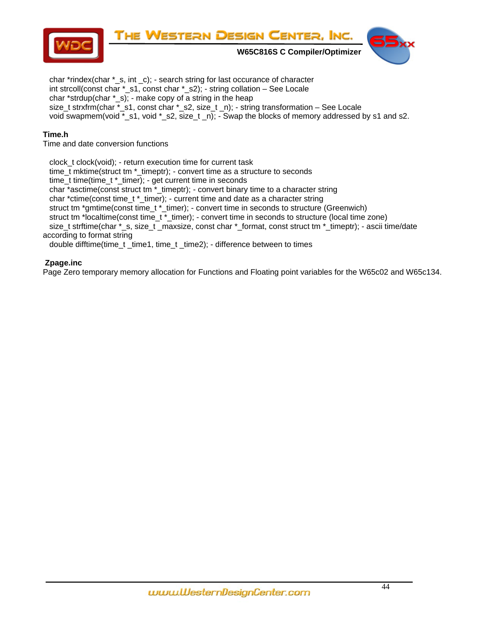

 char \*rindex(char \*\_s, int \_c); - search string for last occurance of character int strcoll(const char \*\_s1, const char \*\_s2); - string collation – See Locale char \*strdup(char \* s); - make copy of a string in the heap size\_t strxfrm(char \*\_s1, const char \*\_s2, size\_t \_n); - string transformation – See Locale void swapmem(void \*\_s1, void \*\_s2, size\_t \_n); - Swap the blocks of memory addressed by s1 and s2.

# **Time.h**

Time and date conversion functions

 clock\_t clock(void); - return execution time for current task time\_t mktime(struct tm \*\_timeptr); - convert time as a structure to seconds time\_t time(time\_t \*\_timer); - get current time in seconds char \*asctime(const struct tm \*\_timeptr); - convert binary time to a character string char \*ctime(const time\_t \*\_timer); - current time and date as a character string struct tm \*gmtime(const time\_t \*\_timer); - convert time in seconds to structure (Greenwich) struct tm \*localtime(const time\_t \*\_timer); - convert time in seconds to structure (local time zone) size\_t strftime(char \*\_s, size\_t \_maxsize, const char \*\_format, const struct tm \*\_timeptr); - ascii time/date according to format string double difftime(time\_t \_time1, time\_t \_time2); - difference between to times

# **Zpage.inc**

Page Zero temporary memory allocation for Functions and Floating point variables for the W65c02 and W65c134.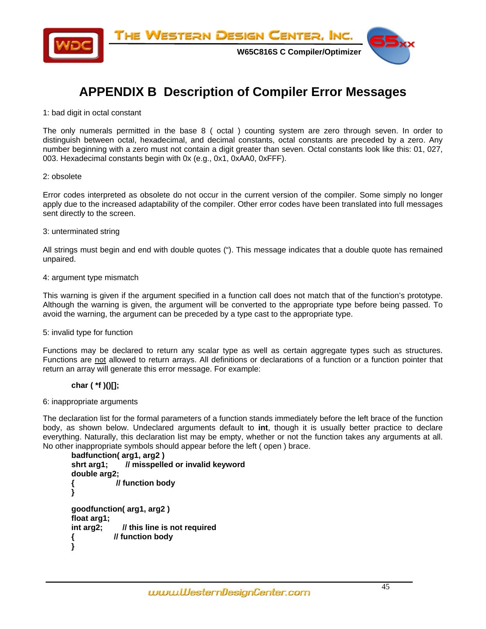<span id="page-44-0"></span>

# **APPENDIX B Description of Compiler Error Messages**

# 1: bad digit in octal constant

The only numerals permitted in the base 8 ( octal ) counting system are zero through seven. In order to distinguish between octal, hexadecimal, and decimal constants, octal constants are preceded by a zero. Any number beginning with a zero must not contain a digit greater than seven. Octal constants look like this: 01, 027, 003. Hexadecimal constants begin with 0x (e.g., 0x1, 0xAA0, 0xFFF).

# 2: obsolete

Error codes interpreted as obsolete do not occur in the current version of the compiler. Some simply no longer apply due to the increased adaptability of the compiler. Other error codes have been translated into full messages sent directly to the screen.

# 3: unterminated string

All strings must begin and end with double quotes ("). This message indicates that a double quote has remained unpaired.

# 4: argument type mismatch

This warning is given if the argument specified in a function call does not match that of the function's prototype. Although the warning is given, the argument will be converted to the appropriate type before being passed. To avoid the warning, the argument can be preceded by a type cast to the appropriate type.

# 5: invalid type for function

Functions may be declared to return any scalar type as well as certain aggregate types such as structures. Functions are not allowed to return arrays. All definitions or declarations of a function or a function pointer that return an array will generate this error message. For example:

# **char ( \*f )()[];**

# 6: inappropriate arguments

The declaration list for the formal parameters of a function stands immediately before the left brace of the function body, as shown below. Undeclared arguments default to **int**, though it is usually better practice to declare everything. Naturally, this declaration list may be empty, whether or not the function takes any arguments at all. No other inappropriate symbols should appear before the left ( open ) brace.

```
badfunction( arg1, arg2 ) 
shrt arg1; // misspelled or invalid keyword 
double arg2; 
{ // function body 
} 
goodfunction( arg1, arg2 ) 
float arg1; 
int arg2; // this line is not required 
{ // function body 
}
```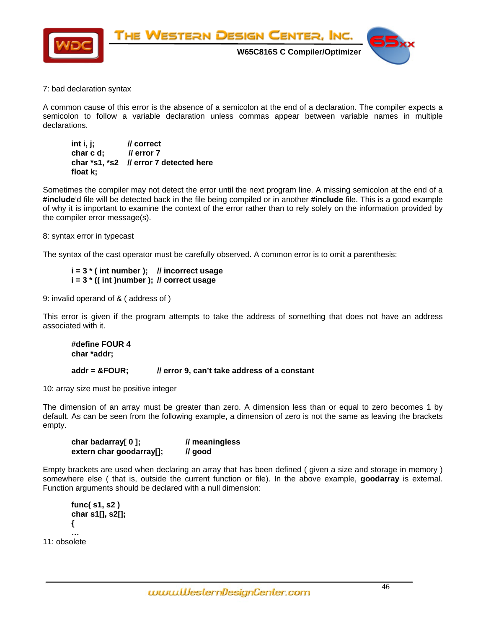

# 7: bad declaration syntax

A common cause of this error is the absence of a semicolon at the end of a declaration. The compiler expects a semicolon to follow a variable declaration unless commas appear between variable names in multiple declarations.

| int i, j; | // correct        |
|-----------|-------------------|
| char c d; | <i>Il</i> error 7 |
|           |                   |
| float k;  |                   |

Sometimes the compiler may not detect the error until the next program line. A missing semicolon at the end of a **#include**'d file will be detected back in the file being compiled or in another **#include** file. This is a good example of why it is important to examine the context of the error rather than to rely solely on the information provided by the compiler error message(s).

# 8: syntax error in typecast

The syntax of the cast operator must be carefully observed. A common error is to omit a parenthesis:

# **i = 3 \* ( int number ); // incorrect usage i = 3 \* (( int )number ); // correct usage**

9: invalid operand of & ( address of )

This error is given if the program attempts to take the address of something that does not have an address associated with it.

```
 #define FOUR 4 
 char *addr; 
 addr = &FOUR; // error 9, can't take address of a constant
```
10: array size must be positive integer

The dimension of an array must be greater than zero. A dimension less than or equal to zero becomes 1 by default. As can be seen from the following example, a dimension of zero is not the same as leaving the brackets empty.

| char badarray[0];        | // meaningless |
|--------------------------|----------------|
| extern char goodarray[]; | // good        |

Empty brackets are used when declaring an array that has been defined ( given a size and storage in memory ) somewhere else ( that is, outside the current function or file). In the above example, **goodarray** is external. Function arguments should be declared with a null dimension:

```
 func( s1, s2 ) 
        char s1[], s2[]; 
         { 
 … 
11: obsolete
```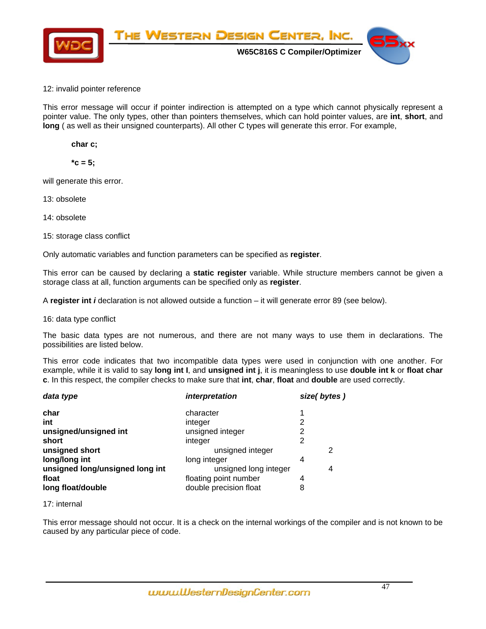

# 12: invalid pointer reference

This error message will occur if pointer indirection is attempted on a type which cannot physically represent a pointer value. The only types, other than pointers themselves, which can hold pointer values, are **int**, **short**, and **long** ( as well as their unsigned counterparts). All other C types will generate this error. For example,

 **char c;** 

 $*c = 5;$ 

will generate this error.

13: obsolete

14: obsolete

15: storage class conflict

Only automatic variables and function parameters can be specified as **register**.

This error can be caused by declaring a **static register** variable. While structure members cannot be given a storage class at all, function arguments can be specified only as **register**.

A **register int** *i* declaration is not allowed outside a function – it will generate error 89 (see below).

16: data type conflict

The basic data types are not numerous, and there are not many ways to use them in declarations. The possibilities are listed below.

This error code indicates that two incompatible data types were used in conjunction with one another. For example, while it is valid to say **long int I**, and **unsigned int j**, it is meaningless to use **double int k** or **float char c**. In this respect, the compiler checks to make sure that **int**, **char**, **float** and **double** are used correctly.

| data type                       | interpretation         | size(bytes) |  |
|---------------------------------|------------------------|-------------|--|
| char                            | character              |             |  |
| int                             | integer                | 2           |  |
| unsigned/unsigned int           | unsigned integer       | 2           |  |
| short                           | integer                | 2           |  |
| unsigned short                  | unsigned integer       | 2           |  |
| long/long int                   | long integer           | 4           |  |
| unsigned long/unsigned long int | unsigned long integer  | 4           |  |
| float                           | floating point number  | 4           |  |
| long float/double               | double precision float | 8           |  |

17: internal

This error message should not occur. It is a check on the internal workings of the compiler and is not known to be caused by any particular piece of code.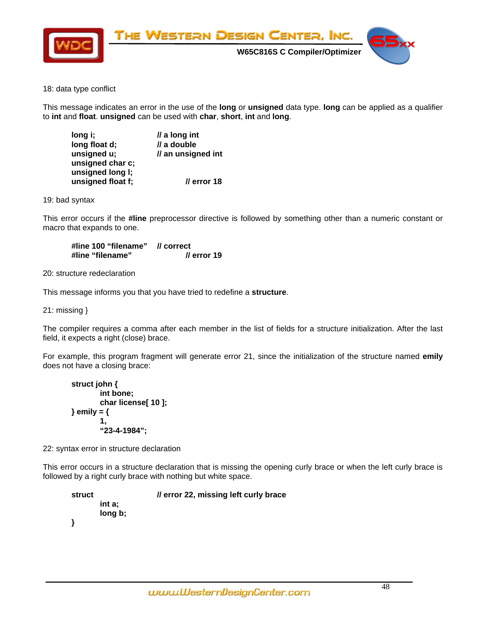

# 18: data type conflict

This message indicates an error in the use of the **long** or **unsigned** data type. **long** can be applied as a qualifier to **int** and **float**. **unsigned** can be used with **char**, **short**, **int** and **long**.

| long i;           | $\mathcal{U}$ a long int |
|-------------------|--------------------------|
| long float d;     | // a double              |
| unsigned u;       | // an unsigned int       |
| unsigned char c;  |                          |
| unsigned long I;  |                          |
| unsigned float f; | // error 18              |

19: bad syntax

This error occurs if the **#line** preprocessor directive is followed by something other than a numeric constant or macro that expands to one.

 **#line 100 "filename" // correct #line "filename" // error 19** 

20: structure redeclaration

This message informs you that you have tried to redefine a **structure**.

21: missing }

The compiler requires a comma after each member in the list of fields for a structure initialization. After the last field, it expects a right (close) brace.

For example, this program fragment will generate error 21, since the initialization of the structure named **emily** does not have a closing brace:

```
struct john { 
               int bone; 
               char license[ 10 ]; 
        } emily = { 
1,
               "23-4-1984";
```
22: syntax error in structure declaration

This error occurs in a structure declaration that is missing the opening curly brace or when the left curly brace is followed by a right curly brace with nothing but white space.

 **struct // error 22, missing left curly brace int a; long b; }**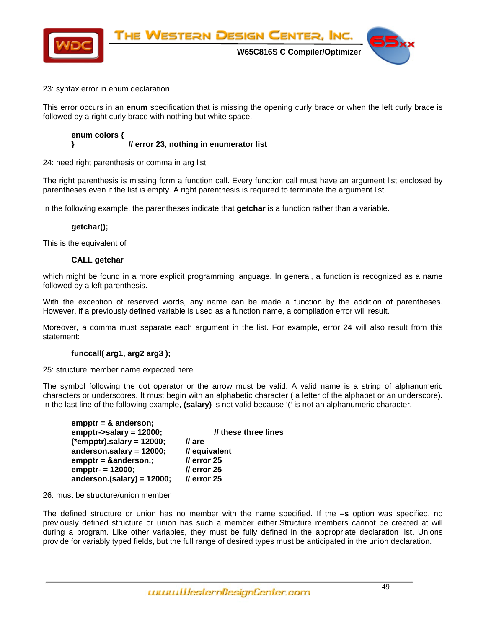

# 23: syntax error in enum declaration

This error occurs in an **enum** specification that is missing the opening curly brace or when the left curly brace is followed by a right curly brace with nothing but white space.

# **enum colors { } // error 23, nothing in enumerator list**

24: need right parenthesis or comma in arg list

The right parenthesis is missing form a function call. Every function call must have an argument list enclosed by parentheses even if the list is empty. A right parenthesis is required to terminate the argument list.

In the following example, the parentheses indicate that **getchar** is a function rather than a variable.

# **getchar();**

This is the equivalent of

# **CALL getchar**

which might be found in a more explicit programming language. In general, a function is recognized as a name followed by a left parenthesis.

With the exception of reserved words, any name can be made a function by the addition of parentheses. However, if a previously defined variable is used as a function name, a compilation error will result.

Moreover, a comma must separate each argument in the list. For example, error 24 will also result from this statement:

# **funccall( arg1, arg2 arg3 );**

25: structure member name expected here

The symbol following the dot operator or the arrow must be valid. A valid name is a string of alphanumeric characters or underscores. It must begin with an alphabetic character ( a letter of the alphabet or an underscore). In the last line of the following example, **(salary)** is not valid because '(' is not an alphanumeric character.

| $empptr = & anderson;$<br>empptr->salary = $12000$ ;     | // these three lines |
|----------------------------------------------------------|----------------------|
| $(*empty).salary = 12000;$<br>// are                     |                      |
| anderson.salary = $12000$ ;<br>// equivalent             |                      |
| $II$ error 25<br>$empptr =$ &anderson.                   |                      |
| $empptr = 12000;$<br>$\prime\prime$ error 25             |                      |
| anderson.(salary) = $12000$ ;<br>$\prime\prime$ error 25 |                      |

26: must be structure/union member

The defined structure or union has no member with the name specified. If the **–s** option was specified, no previously defined structure or union has such a member either.Structure members cannot be created at will during a program. Like other variables, they must be fully defined in the appropriate declaration list. Unions provide for variably typed fields, but the full range of desired types must be anticipated in the union declaration.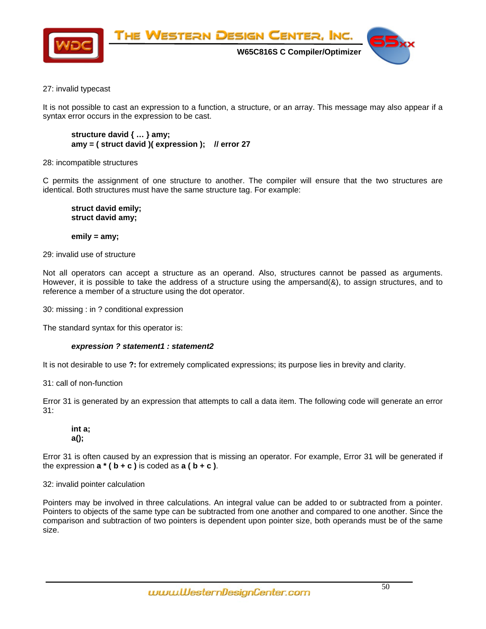

# 27: invalid typecast

It is not possible to cast an expression to a function, a structure, or an array. This message may also appear if a syntax error occurs in the expression to be cast.

```
 structure david { … } amy; 
 amy = ( struct david )( expression ); // error 27
```
28: incompatible structures

C permits the assignment of one structure to another. The compiler will ensure that the two structures are identical. Both structures must have the same structure tag. For example:

 **struct david emily; struct david amy;** 

 **emily = amy;** 

29: invalid use of structure

Not all operators can accept a structure as an operand. Also, structures cannot be passed as arguments. However, it is possible to take the address of a structure using the ampersand(&), to assign structures, and to reference a member of a structure using the dot operator.

30: missing : in ? conditional expression

The standard syntax for this operator is:

# *expression ? statement1 : statement2*

It is not desirable to use **?:** for extremely complicated expressions; its purpose lies in brevity and clarity.

31: call of non-function

Error 31 is generated by an expression that attempts to call a data item. The following code will generate an error 31:

# **int a; a();**

Error 31 is often caused by an expression that is missing an operator. For example, Error 31 will be generated if the expression  $a * (b + c)$  is coded as  $a (b + c)$ .

32: invalid pointer calculation

Pointers may be involved in three calculations. An integral value can be added to or subtracted from a pointer. Pointers to objects of the same type can be subtracted from one another and compared to one another. Since the comparison and subtraction of two pointers is dependent upon pointer size, both operands must be of the same size.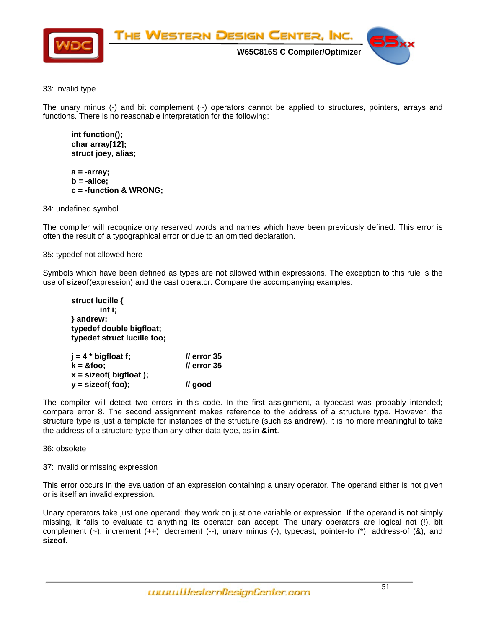

# 33: invalid type

The unary minus (-) and bit complement  $(\sim)$  operators cannot be applied to structures, pointers, arrays and functions. There is no reasonable interpretation for the following:

 **int function(); char array[12]; struct joey, alias;** 

 **a = -array; b = -alice; c = -function & WRONG;** 

34: undefined symbol

The compiler will recognize ony reserved words and names which have been previously defined. This error is often the result of a typographical error or due to an omitted declaration.

35: typedef not allowed here

Symbols which have been defined as types are not allowed within expressions. The exception to this rule is the use of **sizeof**(expression) and the cast operator. Compare the accompanying examples:

 **struct lucille { int i; } andrew; typedef double bigfloat; typedef struct lucille foo;** 

| $j = 4 * bigfloat f;$                  | $\prime\prime$ error 35 |
|----------------------------------------|-------------------------|
| $k = 8$ foo;                           | $\prime\prime$ error 35 |
| $x =$ size of $(\frac{b}{g}$ host $);$ |                         |
| $y =$ size of $($ foo $)$ ;            | // good                 |

The compiler will detect two errors in this code. In the first assignment, a typecast was probably intended; compare error 8. The second assignment makes reference to the address of a structure type. However, the structure type is just a template for instances of the structure (such as **andrew**). It is no more meaningful to take the address of a structure type than any other data type, as in **&int**.

# 36: obsolete

37: invalid or missing expression

This error occurs in the evaluation of an expression containing a unary operator. The operand either is not given or is itself an invalid expression.

Unary operators take just one operand; they work on just one variable or expression. If the operand is not simply missing, it fails to evaluate to anything its operator can accept. The unary operators are logical not (!), bit complement (~), increment (++), decrement (--), unary minus (-), typecast, pointer-to (\*), address-of (&), and **sizeof**.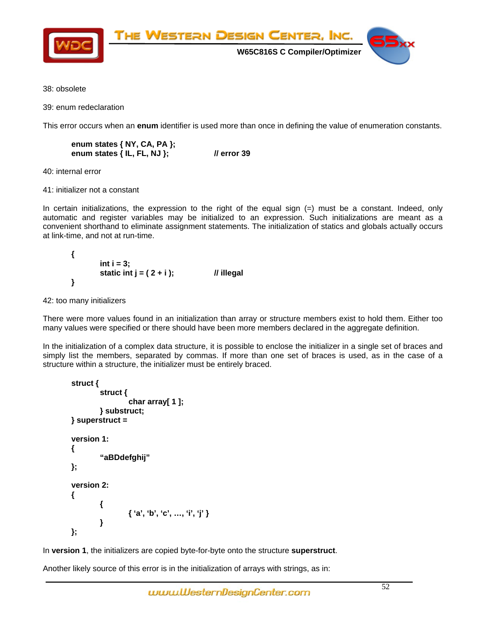

38: obsolete

39: enum redeclaration

This error occurs when an **enum** identifier is used more than once in defining the value of enumeration constants.

 **enum states { NY, CA, PA }; enum states { IL, FL, NJ }; // error 39** 

40: internal error

41: initializer not a constant

In certain initializations, the expression to the right of the equal sign (=) must be a constant. Indeed, only automatic and register variables may be initialized to an expression. Such initializations are meant as a convenient shorthand to eliminate assignment statements. The initialization of statics and globals actually occurs at link-time, and not at run-time.

 **{**   $int i = 3$ :  **static int j = ( 2 + i ); // illegal }** 

42: too many initializers

There were more values found in an initialization than array or structure members exist to hold them. Either too many values were specified or there should have been more members declared in the aggregate definition.

In the initialization of a complex data structure, it is possible to enclose the initializer in a single set of braces and simply list the members, separated by commas. If more than one set of braces is used, as in the case of a structure within a structure, the initializer must be entirely braced.

```
 struct { 
                 struct { 
                          char array[ 1 ]; 
                 } substruct; 
         } superstruct = 
         version 1: 
         { 
                 "aBDdefghij" 
         }; 
         version 2: 
         { 
 { 
                          { 'a', 'b', 'c', …, 'i', 'j' } 
 } 
         };
```
In **version 1**, the initializers are copied byte-for-byte onto the structure **superstruct**.

Another likely source of this error is in the initialization of arrays with strings, as in: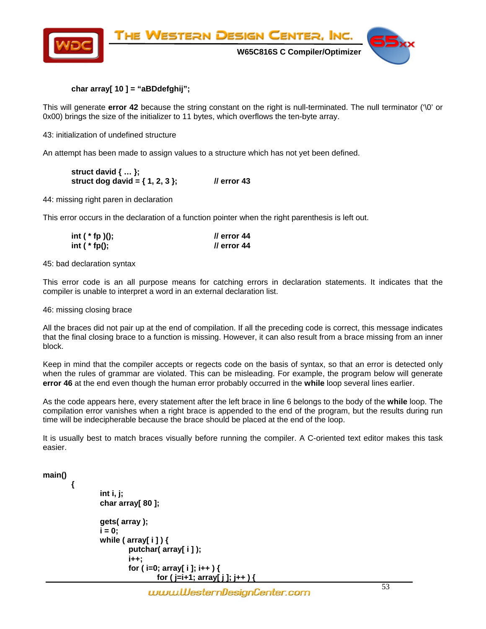

# **char array[ 10 ] = "aBDdefghij";**

This will generate **error 42** because the string constant on the right is null-terminated. The null terminator ('\0' or 0x00) brings the size of the initializer to 11 bytes, which overflows the ten-byte array.

43: initialization of undefined structure

An attempt has been made to assign values to a structure which has not yet been defined.

 **struct david { … }; struct dog david = { 1, 2, 3 }; // error 43** 

44: missing right paren in declaration

This error occurs in the declaration of a function pointer when the right parenthesis is left out.

| int $(*$ fp $)();$ | <i>Il</i> error 44 |
|--------------------|--------------------|
| int $(*$ fp();     | <i>Il</i> error 44 |

45: bad declaration syntax

This error code is an all purpose means for catching errors in declaration statements. It indicates that the compiler is unable to interpret a word in an external declaration list.

46: missing closing brace

All the braces did not pair up at the end of compilation. If all the preceding code is correct, this message indicates that the final closing brace to a function is missing. However, it can also result from a brace missing from an inner block.

Keep in mind that the compiler accepts or regects code on the basis of syntax, so that an error is detected only when the rules of grammar are violated. This can be misleading. For example, the program below will generate **error 46** at the end even though the human error probably occurred in the **while** loop several lines earlier.

As the code appears here, every statement after the left brace in line 6 belongs to the body of the **while** loop. The compilation error vanishes when a right brace is appended to the end of the program, but the results during run time will be indecipherable because the brace should be placed at the end of the loop.

It is usually best to match braces visually before running the compiler. A C-oriented text editor makes this task easier.

**main()** 

 **{** 

```
 int i, j; 
 char array[ 80 ]; 
 gets( array ); 
i = 0:
 while ( array[ i ] ) { 
           putchar( array[ i ] ); 
           i++; 
           for ( i=0; array[ i ]; i++ ) { 
                    for ( j=i+1; array[ j ]; j++ ) {
```
www.WesternDesignCenter.com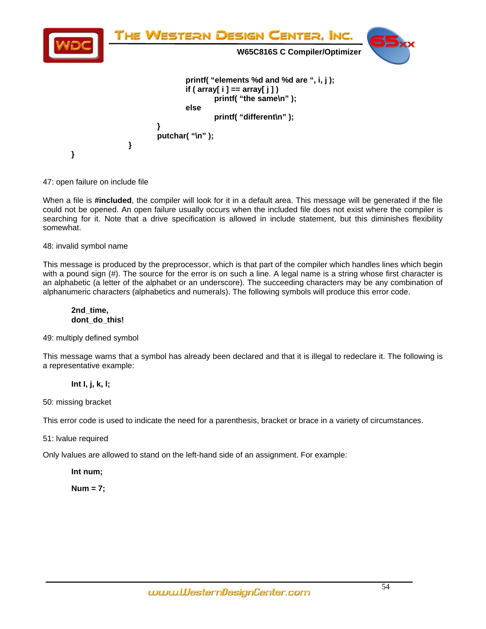

47: open failure on include file

When a file is **#included**, the compiler will look for it in a default area. This message will be generated if the file could not be opened. An open failure usually occurs when the included file does not exist where the compiler is searching for it. Note that a drive specification is allowed in include statement, but this diminishes flexibility somewhat.

48: invalid symbol name

This message is produced by the preprocessor, which is that part of the compiler which handles lines which begin with a pound sign (#). The source for the error is on such a line. A legal name is a string whose first character is an alphabetic (a letter of the alphabet or an underscore). The succeeding characters may be any combination of alphanumeric characters (alphabetics and numerals). The following symbols will produce this error code.

# **2nd\_time, dont\_do\_this!**

49: multiply defined symbol

This message warns that a symbol has already been declared and that it is illegal to redeclare it. The following is a representative example:

# **Int I, j, k, l;**

50: missing bracket

This error code is used to indicate the need for a parenthesis, bracket or brace in a variety of circumstances.

51: lvalue required

Only lvalues are allowed to stand on the left-hand side of an assignment. For example:

 **Int num;** 

 **Num = 7;**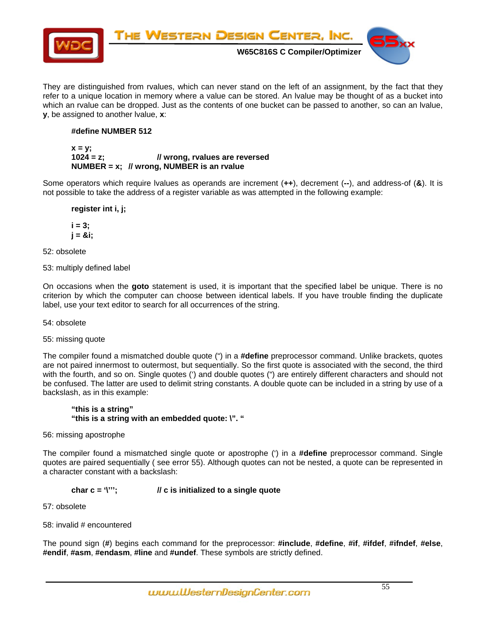

They are distinguished from rvalues, which can never stand on the left of an assignment, by the fact that they refer to a unique location in memory where a value can be stored. An lvalue may be thought of as a bucket into which an rvalue can be dropped. Just as the contents of one bucket can be passed to another, so can an lvalue, **y**, be assigned to another lvalue, **x**:

# **#define NUMBER 512**

#### $x = y$ ;  **1024 = z; // wrong, rvalues are reversed NUMBER = x; // wrong, NUMBER is an rvalue**

Some operators which require lvalues as operands are increment (**++**), decrement (**--**), and address-of (**&**). It is not possible to take the address of a register variable as was attempted in the following example:

 **register int i, j;** 

 **i = 3; j = &i;** 

52: obsolete

53: multiply defined label

On occasions when the **goto** statement is used, it is important that the specified label be unique. There is no criterion by which the computer can choose between identical labels. If you have trouble finding the duplicate label, use your text editor to search for all occurrences of the string.

54: obsolete

55: missing quote

The compiler found a mismatched double quote (") in a **#define** preprocessor command. Unlike brackets, quotes are not paired innermost to outermost, but sequentially. So the first quote is associated with the second, the third with the fourth, and so on. Single quotes (') and double quotes (") are entirely different characters and should not be confused. The latter are used to delimit string constants. A double quote can be included in a string by use of a backslash, as in this example:

# **"this is a string" "this is a string with an embedded quote: \". "**

56: missing apostrophe

The compiler found a mismatched single quote or apostrophe (') in a **#define** preprocessor command. Single quotes are paired sequentially ( see error 55). Although quotes can not be nested, a quote can be represented in a character constant with a backslash:

# **char c = '\'''; // c is initialized to a single quote**

57: obsolete

58: invalid # encountered

The pound sign (**#**) begins each command for the preprocessor: **#include**, **#define**, **#if**, **#ifdef**, **#ifndef**, **#else**, **#endif**, **#asm**, **#endasm**, **#line** and **#undef**. These symbols are strictly defined.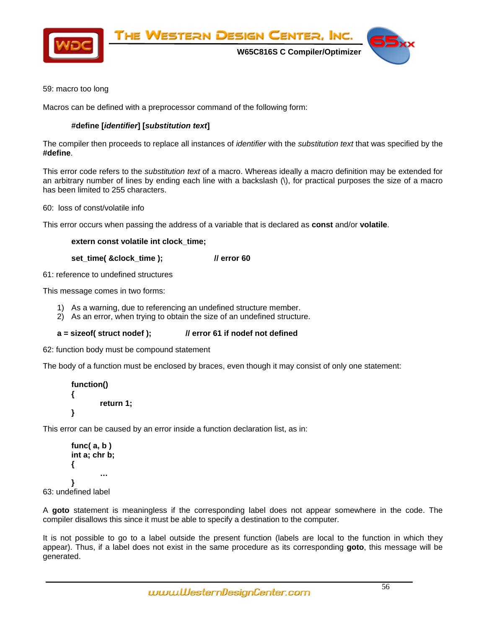

59: macro too long

Macros can be defined with a preprocessor command of the following form:

# **#define [***identifier***] [***substitution text***]**

The compiler then proceeds to replace all instances of *identifier* with the *substitution text* that was specified by the **#define**.

This error code refers to the *substitution text* of a macro. Whereas ideally a macro definition may be extended for an arbitrary number of lines by ending each line with a backslash (\), for practical purposes the size of a macro has been limited to 255 characters.

60: loss of const/volatile info

This error occurs when passing the address of a variable that is declared as **const** and/or **volatile**.

# **extern const volatile int clock\_time;**

 **set\_time( &clock\_time ); // error 60** 

61: reference to undefined structures

This message comes in two forms:

1) As a warning, due to referencing an undefined structure member.

2) As an error, when trying to obtain the size of an undefined structure.

# **a = sizeof( struct nodef ); // error 61 if nodef not defined**

62: function body must be compound statement

The body of a function must be enclosed by braces, even though it may consist of only one statement:

```
 function() 
 { 
            return 1; 
 }
```
This error can be caused by an error inside a function declaration list, as in:

```
 func( a, b ) 
        int a; chr b; 
        { 
 … 
        } 
63: undefined label
```
A **goto** statement is meaningless if the corresponding label does not appear somewhere in the code. The compiler disallows this since it must be able to specify a destination to the computer.

It is not possible to go to a label outside the present function (labels are local to the function in which they appear). Thus, if a label does not exist in the same procedure as its corresponding **goto**, this message will be generated.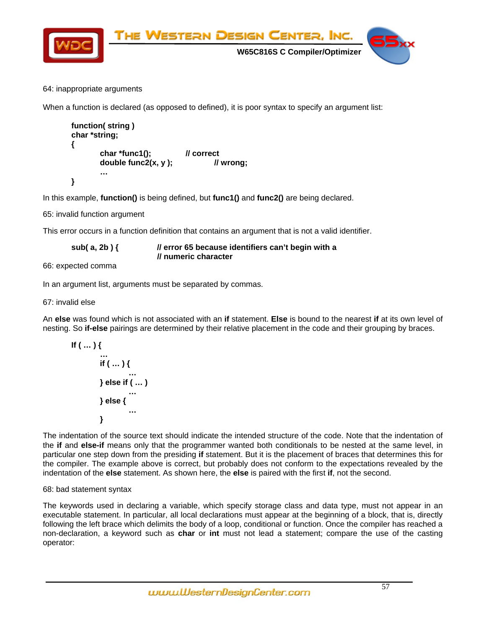

# 64: inappropriate arguments

When a function is declared (as opposed to defined), it is poor syntax to specify an argument list:

```
 function( string ) 
       char *string; 
       { 
              char *func1(); // correct 
              double func2(x, y ); // wrong; 
 … 
       }
```
In this example, **function()** is being defined, but **func1()** and **func2()** are being declared.

65: invalid function argument

This error occurs in a function definition that contains an argument that is not a valid identifier.

| sub(a, 2b) $\{$ | // error 65 because identifiers can't begin with a |
|-----------------|----------------------------------------------------|
|                 | // numeric character                               |

66: expected comma

In an argument list, arguments must be separated by commas.

67: invalid else

An **else** was found which is not associated with an **if** statement. **Else** is bound to the nearest **if** at its own level of nesting. So **if-else** pairings are determined by their relative placement in the code and their grouping by braces.

$$
\mathsf{If} \left( \dots \right) \{ \\ \dots \\ \mathsf{if} \left( \dots \right) \{ \\ \dots \\ \} \mathsf{else} \mathsf{if} \left( \dots \right) \\ \dots \\ \} \\ \mathsf{else} \{ \\ \dots \\ \}
$$

The indentation of the source text should indicate the intended structure of the code. Note that the indentation of the **if** and **else-if** means only that the programmer wanted both conditionals to be nested at the same level, in particular one step down from the presiding **if** statement. But it is the placement of braces that determines this for the compiler. The example above is correct, but probably does not conform to the expectations revealed by the indentation of the **else** statement. As shown here, the **else** is paired with the first **if**, not the second.

# 68: bad statement syntax

The keywords used in declaring a variable, which specify storage class and data type, must not appear in an executable statement. In particular, all local declarations must appear at the beginning of a block, that is, directly following the left brace which delimits the body of a loop, conditional or function. Once the compiler has reached a non-declaration, a keyword such as **char** or **int** must not lead a statement; compare the use of the casting operator: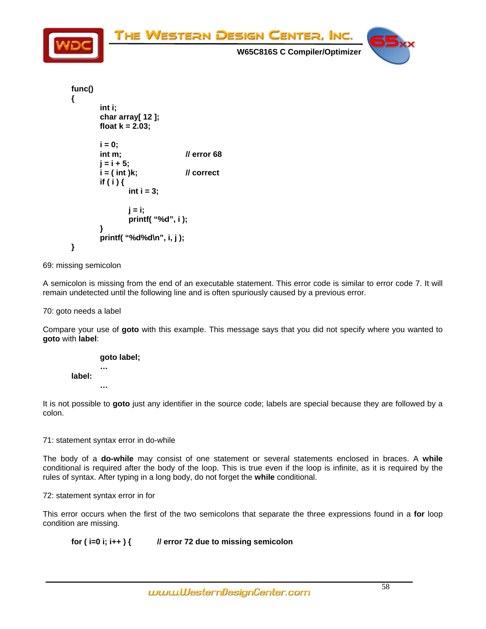

```
 func() 
         { 
                 int i; 
                 char array[ 12 ]; 
                 float k = 2.03; 
                i = 0;
                 int m; // error 68 
                 j = i + 5; 
                 i = ( int )k; // correct 
                 if ( i ) { 
                         int i = 3; 
                         j = i; 
                         printf( "%d", i ); 
 } 
                 printf( "%d%d\n", i, j ); 
        }
```
69: missing semicolon

A semicolon is missing from the end of an executable statement. This error code is similar to error code 7. It will remain undetected until the following line and is often spuriously caused by a previous error.

70: goto needs a label

Compare your use of **goto** with this example. This message says that you did not specify where you wanted to **goto** with **label**:



It is not possible to **goto** just any identifier in the source code; labels are special because they are followed by a colon.

71: statement syntax error in do-while

The body of a **do-while** may consist of one statement or several statements enclosed in braces. A **while** conditional is required after the body of the loop. This is true even if the loop is infinite, as it is required by the rules of syntax. After typing in a long body, do not forget the **while** conditional.

72: statement syntax error in for

This error occurs when the first of the two semicolons that separate the three expressions found in a **for** loop condition are missing.

 **for ( i=0 i; i++ ) { // error 72 due to missing semicolon**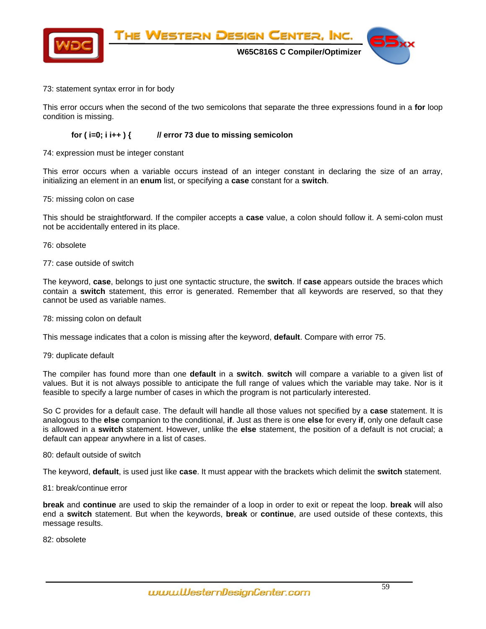

# 73: statement syntax error in for body

This error occurs when the second of the two semicolons that separate the three expressions found in a **for** loop condition is missing.

# **for ( i=0; i i++ ) { // error 73 due to missing semicolon**

# 74: expression must be integer constant

This error occurs when a variable occurs instead of an integer constant in declaring the size of an array, initializing an element in an **enum** list, or specifying a **case** constant for a **switch**.

#### 75: missing colon on case

This should be straightforward. If the compiler accepts a **case** value, a colon should follow it. A semi-colon must not be accidentally entered in its place.

#### 76: obsolete

#### 77: case outside of switch

The keyword, **case**, belongs to just one syntactic structure, the **switch**. If **case** appears outside the braces which contain a **switch** statement, this error is generated. Remember that all keywords are reserved, so that they cannot be used as variable names.

### 78: missing colon on default

This message indicates that a colon is missing after the keyword, **default**. Compare with error 75.

#### 79: duplicate default

The compiler has found more than one **default** in a **switch**. **switch** will compare a variable to a given list of values. But it is not always possible to anticipate the full range of values which the variable may take. Nor is it feasible to specify a large number of cases in which the program is not particularly interested.

So C provides for a default case. The default will handle all those values not specified by a **case** statement. It is analogous to the **else** companion to the conditional, **if**. Just as there is one **else** for every **if**, only one default case is allowed in a **switch** statement. However, unlike the **else** statement, the position of a default is not crucial; a default can appear anywhere in a list of cases.

# 80: default outside of switch

The keyword, **default**, is used just like **case**. It must appear with the brackets which delimit the **switch** statement.

# 81: break/continue error

**break** and **continue** are used to skip the remainder of a loop in order to exit or repeat the loop. **break** will also end a **switch** statement. But when the keywords, **break** or **continue**, are used outside of these contexts, this message results.

82: obsolete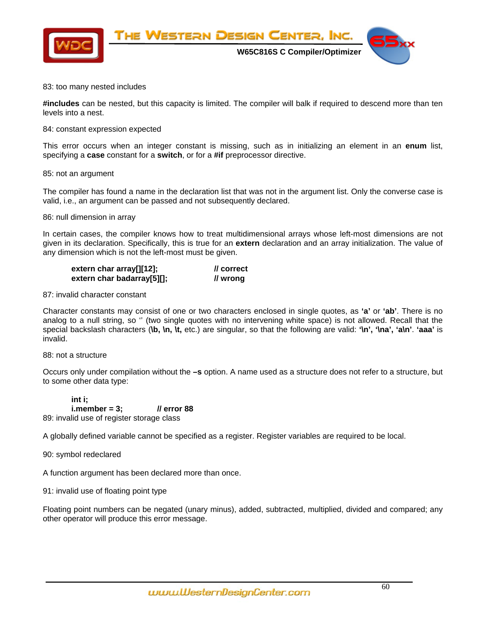

 **W65C816S C Compiler/Optimizer** 



# 83: too many nested includes

**#includes** can be nested, but this capacity is limited. The compiler will balk if required to descend more than ten levels into a nest.

#### 84: constant expression expected

This error occurs when an integer constant is missing, such as in initializing an element in an **enum** list, specifying a **case** constant for a **switch**, or for a **#if** preprocessor directive.

#### 85: not an argument

The compiler has found a name in the declaration list that was not in the argument list. Only the converse case is valid, i.e., an argument can be passed and not subsequently declared.

#### 86: null dimension in array

In certain cases, the compiler knows how to treat multidimensional arrays whose left-most dimensions are not given in its declaration. Specifically, this is true for an **extern** declaration and an array initialization. The value of any dimension which is not the left-most must be given.

| extern char array[][12];   | // correct |
|----------------------------|------------|
| extern char badarray[5][]; | // wrong   |

### 87: invalid character constant

Character constants may consist of one or two characters enclosed in single quotes, as **'a'** or **'ab'**. There is no analog to a null string, so '' (two single quotes with no intervening white space) is not allowed. Recall that the special backslash characters (**\b, \n, \t,** etc.) are singular, so that the following are valid: **'\n', '\na', 'a\n'**. **'aaa'** is invalid.

#### 88: not a structure

Occurs only under compilation without the **–s** option. A name used as a structure does not refer to a structure, but to some other data type:

 **int i; i.member = 3; // error 88**  89: invalid use of register storage class

A globally defined variable cannot be specified as a register. Register variables are required to be local.

90: symbol redeclared

A function argument has been declared more than once.

91: invalid use of floating point type

Floating point numbers can be negated (unary minus), added, subtracted, multiplied, divided and compared; any other operator will produce this error message.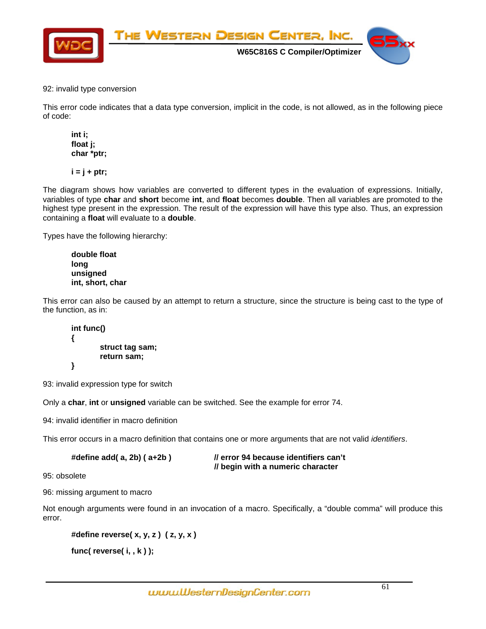

92: invalid type conversion

This error code indicates that a data type conversion, implicit in the code, is not allowed, as in the following piece of code:

 **int i; float j; char \*ptr;** 

 $i = j + pt$ ;

The diagram shows how variables are converted to different types in the evaluation of expressions. Initially, variables of type **char** and **short** become **int**, and **float** becomes **double**. Then all variables are promoted to the highest type present in the expression. The result of the expression will have this type also. Thus, an expression containing a **float** will evaluate to a **double**.

Types have the following hierarchy:

 **double float long unsigned int, short, char** 

This error can also be caused by an attempt to return a structure, since the structure is being cast to the type of the function, as in:

 **int func() { struct tag sam; return sam; }** 

93: invalid expression type for switch

Only a **char**, **int** or **unsigned** variable can be switched. See the example for error 74.

94: invalid identifier in macro definition

This error occurs in a macro definition that contains one or more arguments that are not valid *identifiers*.

| #define $add(a, 2b)$ ( $a+2b$ ) | <i>Il</i> error 94 because identifiers can't |
|---------------------------------|----------------------------------------------|
|                                 | // begin with a numeric character            |

95: obsolete

96: missing argument to macro

Not enough arguments were found in an invocation of a macro. Specifically, a "double comma" will produce this error.

```
 #define reverse( x, y, z ) ( z, y, x )
```

```
 func( reverse( i, , k ) );
```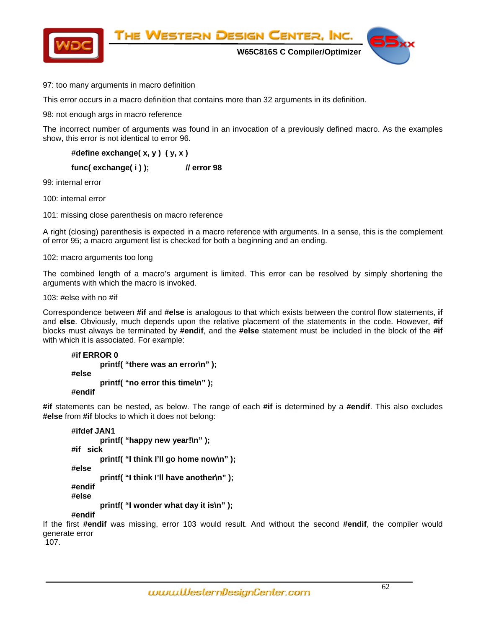

97: too many arguments in macro definition

This error occurs in a macro definition that contains more than 32 arguments in its definition.

98: not enough args in macro reference

The incorrect number of arguments was found in an invocation of a previously defined macro. As the examples show, this error is not identical to error 96.

 **#define exchange( x, y ) ( y, x ) func( exchange( i ) ); // error 98**  99: internal error

100: internal error

101: missing close parenthesis on macro reference

A right (closing) parenthesis is expected in a macro reference with arguments. In a sense, this is the complement of error 95; a macro argument list is checked for both a beginning and an ending.

102: macro arguments too long

The combined length of a macro's argument is limited. This error can be resolved by simply shortening the arguments with which the macro is invoked.

103: #else with no #if

Correspondence between **#if** and **#else** is analogous to that which exists between the control flow statements, **if** and **else**. Obviously, much depends upon the relative placement of the statements in the code. However, **#if** blocks must always be terminated by **#endif**, and the **#else** statement must be included in the block of the **#if** with which it is associated. For example:

```
 #if ERROR 0 
         printf( "there was an error\n" ); 
 #else 
         printf( "no error this time\n" ); 
 #endif
```
**#if** statements can be nested, as below. The range of each **#if** is determined by a **#endif**. This also excludes **#else** from **#if** blocks to which it does not belong:

```
 #ifdef JAN1 
         printf( "happy new year!\n" ); 
 #if sick 
         printf( "I think I'll go home now\n" ); 
 #else 
          printf( "I think I'll have another\n" ); 
 #endif 
 #else 
         printf( "I wonder what day it is\n" ); 
 #endif
```
If the first **#endif** was missing, error 103 would result. And without the second **#endif**, the compiler would generate error

107.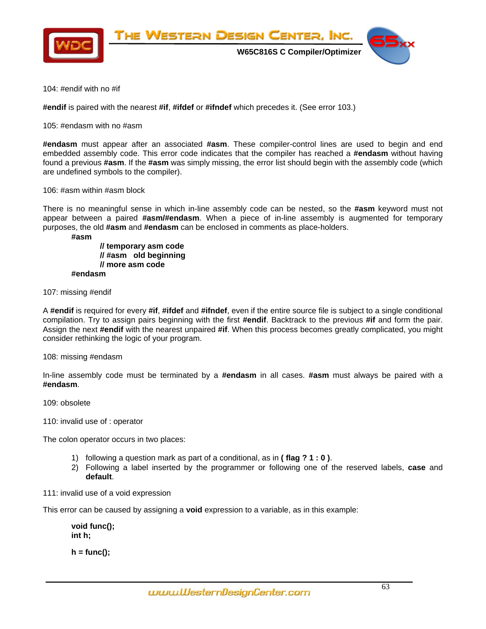

104: #endif with no #if

**#endif** is paired with the nearest **#if**, **#ifdef** or **#ifndef** which precedes it. (See error 103.)

105: #endasm with no #asm

**#endasm** must appear after an associated **#asm**. These compiler-control lines are used to begin and end embedded assembly code. This error code indicates that the compiler has reached a **#endasm** without having found a previous **#asm**. If the **#asm** was simply missing, the error list should begin with the assembly code (which are undefined symbols to the compiler).

106: #asm within #asm block

There is no meaningful sense in which in-line assembly code can be nested, so the **#asm** keyword must not appear between a paired **#asm/#endasm**. When a piece of in-line assembly is augmented for temporary purposes, the old **#asm** and **#endasm** can be enclosed in comments as place-holders.

 **#asm** 

 **// temporary asm code // #asm old beginning // more asm code #endasm** 

107: missing #endif

A **#endif** is required for every **#if**, **#ifdef** and **#ifndef**, even if the entire source file is subject to a single conditional compilation. Try to assign pairs beginning with the first **#endif**. Backtrack to the previous **#if** and form the pair. Assign the next **#endif** with the nearest unpaired **#if**. When this process becomes greatly complicated, you might consider rethinking the logic of your program.

108: missing #endasm

In-line assembly code must be terminated by a **#endasm** in all cases. **#asm** must always be paired with a **#endasm**.

109: obsolete

[110: invalid use of : operator](#page-2-0) 

[The colon operator occurs in two places:](#page-3-0) 

- [1\) following a question mark as part of a conditional, as in](#page-3-0) **( flag ? 1 : 0 )**.
- [2\) Following a label inserted by the programmer or following one of the reserved labels,](#page-4-0) **case** and **[default](#page-4-0)**.
- [111: invalid use of a void expression](#page-5-0)

[T](#page-6-0)his error can be caused by assigning a **void** [expression to a variable, as in this example:](#page-6-0) 

 **[void func\(\);](#page-6-0)   [int h;](#page-7-0)** 

 **[h = func\(\);](#page-9-0)**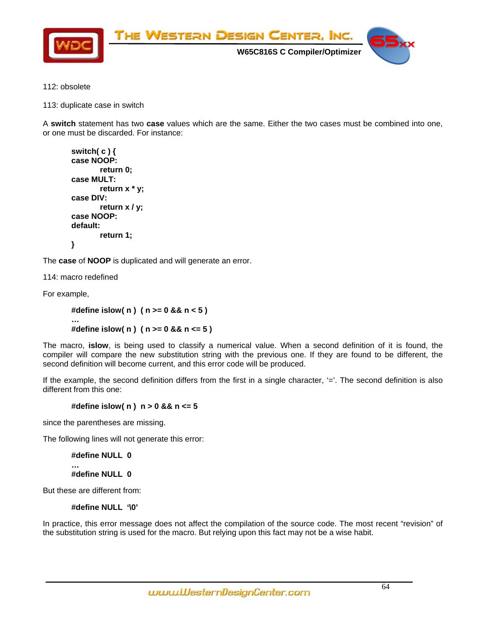

- [112: obsolete](#page-9-0)
- [113: duplicate case in switch](#page-20-0)

A **switch** statement has two **case** [values which are the same. Either the two cases must be combined into one,](#page-20-0)  [or one must be discarded. For instance:](#page-20-0) 

```
 switch( c ) { 
 case NOOP: 
          return 0; 
 case MULT: 
          return x * y; 
 case DIV: 
          return x / y; 
 case NOOP: 
 default: 
          return 1; 
 }
```
The **case** of **NOOP** [is duplicated and will generate an error.](#page-28-0) 

[114: macro redefined](#page-29-0) 

[For example,](#page-32-0) 

```
 #define islow( n ) ( n >= 0 && n < 5 ) 
 … 
        #define islow( n ) ( n >= 0 && n <= 5 )
```
The macro, **islow**[, is being used to classify a numerical value. When a second definition of it is found, the](#page-33-0)  [compiler will compare the new substitution string with the previous one. If they are found to be different, the](#page-33-0)  [second definition will become current, and this error code will be produced.](#page-33-0) 

If the example, the second definition differs from the first in a single character, '='. The second definition is also [different from this one:](#page-34-0) 

# **[#define islow\( n \) n > 0 && n <= 5](#page-34-0)**

[since the parentheses are missing.](#page-34-0) 

[The following lines will not generate this error:](#page-35-0) 

 **[#define NULL 0](#page-36-0)** 

 **[#define NULL 0](#page-44-0)** 

[But these are different from:](#page-73-0) 

 **[…](#page-38-0)** 

 **#define NULL '\0'** 

In practice, this error message does not affect the compilation of the source code. The most recent "revision" of the substitution string is used for the macro. But relying upon this fact may not be a wise habit.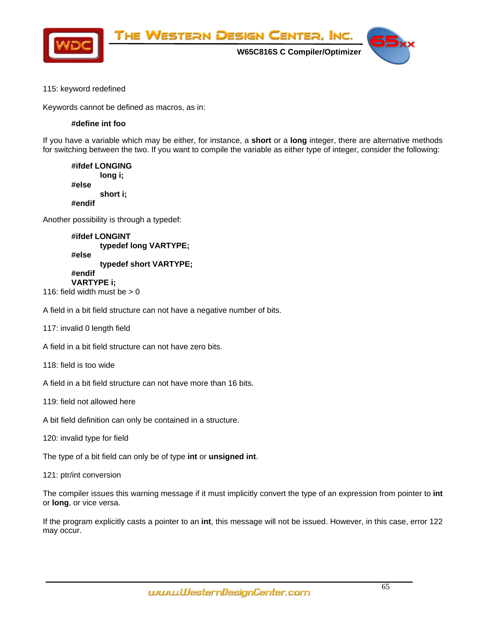

# 115: keyword redefined

Keywords cannot be defined as macros, as in:

# **#define int foo**

If you have a variable which may be either, for instance, a **short** or a **long** integer, there are alternative methods for switching between the two. If you want to compile the variable as either type of integer, consider the following:

 **#ifdef LONGING long i; #else short i; #endif** 

Another possibility is through a typedef:

 **#ifdef LONGINT typedef long VARTYPE; #else typedef short VARTYPE; #endif VARTYPE i;**  116: field width must be  $> 0$ 

A field in a bit field structure can not have a negative number of bits.

117: invalid 0 length field

A field in a bit field structure can not have zero bits.

118: field is too wide

A field in a bit field structure can not have more than 16 bits.

- 119: field not allowed here
- A bit field definition can only be contained in a structure.
- 120: invalid type for field

The type of a bit field can only be of type **int** or **unsigned int**.

121: ptr/int conversion

The compiler issues this warning message if it must implicitly convert the type of an expression from pointer to **int** or **long**, or vice versa.

If the program explicitly casts a pointer to an **int**, this message will not be issued. However, in this case, error 122 may occur.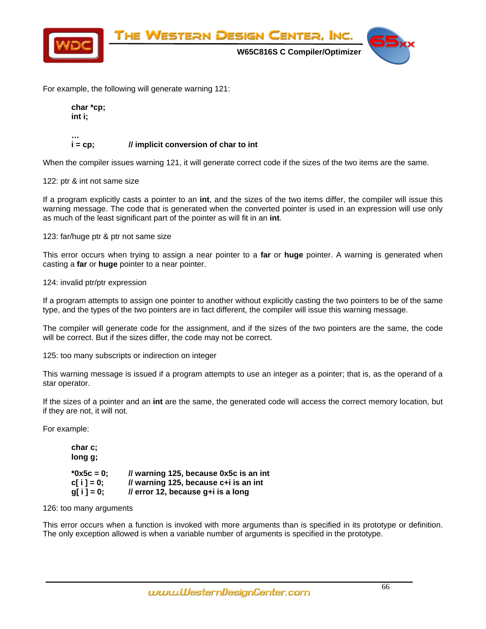

For example, the following will generate warning 121:

 **char \*cp; int i;** 

#### **…**  *i* **= cp; // implicit conversion of char to int**

When the compiler issues warning 121, it will generate correct code if the sizes of the two items are the same.

# 122: ptr & int not same size

If a program explicitly casts a pointer to an **int**, and the sizes of the two items differ, the compiler will issue this warning message. The code that is generated when the converted pointer is used in an expression will use only as much of the least significant part of the pointer as will fit in an **int**.

123: far/huge ptr & ptr not same size

This error occurs when trying to assign a near pointer to a **far** or **huge** pointer. A warning is generated when casting a **far** or **huge** pointer to a near pointer.

124: invalid ptr/ptr expression

If a program attempts to assign one pointer to another without explicitly casting the two pointers to be of the same type, and the types of the two pointers are in fact different, the compiler will issue this warning message.

The compiler will generate code for the assignment, and if the sizes of the two pointers are the same, the code will be correct. But if the sizes differ, the code may not be correct.

125: too many subscripts or indirection on integer

This warning message is issued if a program attempts to use an integer as a pointer; that is, as the operand of a star operator.

If the sizes of a pointer and an **int** are the same, the generated code will access the correct memory location, but if they are not, it will not.

For example:

 **char c; long g; \*0x5c = 0; // warning 125, because 0x5c is an int**   $cf i = 0;$  // warning 125, because  $c+i$  is an int  **g[ i ] = 0; // error 12, because g+i is a long** 

126: too many arguments

This error occurs when a function is invoked with more arguments than is specified in its prototype or definition. The only exception allowed is when a variable number of arguments is specified in the prototype.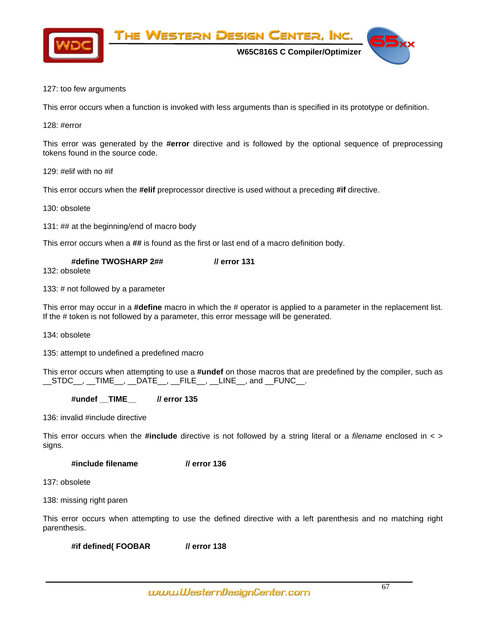

 **W65C816S C Compiler/Optimizer** 



# 127: too few arguments

This error occurs when a function is invoked with less arguments than is specified in its prototype or definition.

The Western Design Center, Inc.

128: #error

This error was generated by the **#error** directive and is followed by the optional sequence of preprocessing tokens found in the source code.

129: #elif with no #if

This error occurs when the **#elif** preprocessor directive is used without a preceding **#if** directive.

130: obsolete

131: ## at the beginning/end of macro body

This error occurs when a **##** is found as the first or last end of a macro definition body.

| #define TWOSHARP 2## | <i>Il</i> error 131 |
|----------------------|---------------------|
| $100.$ $-1 - 1$      |                     |

132: obsolete

133: # not followed by a parameter

This error may occur in a **#define** macro in which the # operator is applied to a parameter in the replacement list. If the # token is not followed by a parameter, this error message will be generated.

134: obsolete

135: attempt to undefined a predefined macro

This error occurs when attempting to use a **#undef** on those macros that are predefined by the compiler, such as  $\_STDC\_$ ,  $\_TIME\_$ ,  $\_DATE\_$ ,  $\_FILE\_$ ,  $\_LINE\_$ , and  $\_FUNC\_$ .

# **#undef \_\_TIME\_\_ // error 135**

136: invalid #include directive

This error occurs when the **#include** directive is not followed by a string literal or a *filename* enclosed in < > signs.

# **#include filename // error 136**

137: obsolete

138: missing right paren

This error occurs when attempting to use the defined directive with a left parenthesis and no matching right parenthesis.

 **#if defined( FOOBAR // error 138**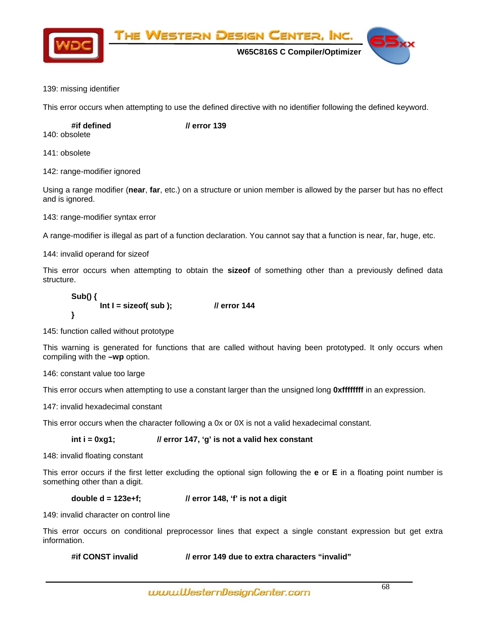

The Western Design Center, Inc.

 **W65C816S C Compiler/Optimizer** 

# 139: missing identifier

This error occurs when attempting to use the defined directive with no identifier following the defined keyword.

 **#if defined // error 139** 

140: obsolete

141: obsolete

142: range-modifier ignored

Using a range modifier (**near**, **far**, etc.) on a structure or union member is allowed by the parser but has no effect and is ignored.

143: range-modifier syntax error

A range-modifier is illegal as part of a function declaration. You cannot say that a function is near, far, huge, etc.

144: invalid operand for sizeof

This error occurs when attempting to obtain the **sizeof** of something other than a previously defined data structure.

 **Sub() { Int I = sizeof( sub ); // error 144 }** 

145: function called without prototype

This warning is generated for functions that are called without having been prototyped. It only occurs when compiling with the **–wp** option.

146: constant value too large

This error occurs when attempting to use a constant larger than the unsigned long **0xffffffff** in an expression.

147: invalid hexadecimal constant

This error occurs when the character following a 0x or 0X is not a valid hexadecimal constant.

# int i = 0xg1; *// error 147, 'g' is not a valid hex constant*

148: invalid floating constant

This error occurs if the first letter excluding the optional sign following the **e** or **E** in a floating point number is something other than a digit.

# **double d = 123e+f; // error 148, 'f' is not a digit**

149: invalid character on control line

This error occurs on conditional preprocessor lines that expect a single constant expression but get extra information.

 **#if CONST invalid // error 149 due to extra characters "invalid"**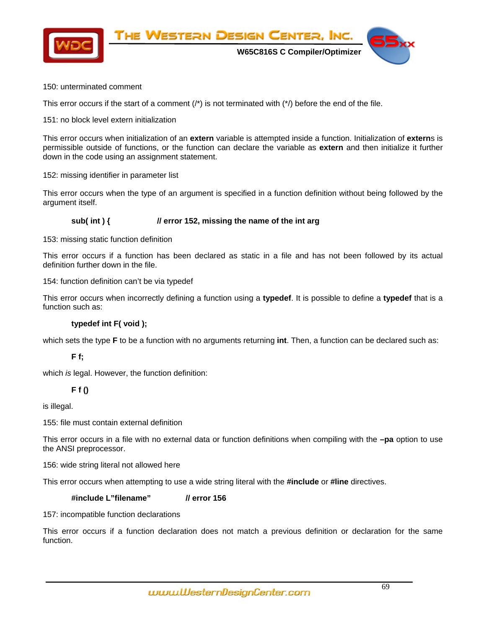

# 150: unterminated comment

This error occurs if the start of a comment  $($ ) is not terminated with  $($ <sup>\*</sup> $)$  before the end of the file.

151: no block level extern initialization

This error occurs when initialization of an **extern** variable is attempted inside a function. Initialization of **extern**s is permissible outside of functions, or the function can declare the variable as **extern** and then initialize it further down in the code using an assignment statement.

152: missing identifier in parameter list

This error occurs when the type of an argument is specified in a function definition without being followed by the argument itself.

# **sub( int ) { // error 152, missing the name of the int arg**

153: missing static function definition

This error occurs if a function has been declared as static in a file and has not been followed by its actual definition further down in the file.

154: function definition can't be via typedef

This error occurs when incorrectly defining a function using a **typedef**. It is possible to define a **typedef** that is a function such as:

# **typedef int F( void );**

which sets the type **F** to be a function with no arguments returning **int**. Then, a function can be declared such as:

 **F f;** 

which *is* legal. However, the function definition:

# **F f ()**

is illegal.

155: file must contain external definition

This error occurs in a file with no external data or function definitions when compiling with the **–pa** option to use the ANSI preprocessor.

156: wide string literal not allowed here

This error occurs when attempting to use a wide string literal with the **#include** or **#line** directives.

# **#include L"filename" // error 156**

157: incompatible function declarations

This error occurs if a function declaration does not match a previous definition or declaration for the same function.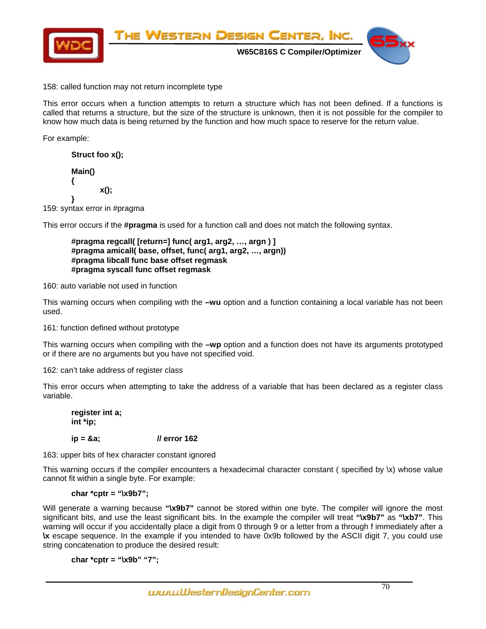

158: called function may not return incomplete type

This error occurs when a function attempts to return a structure which has not been defined. If a functions is called that returns a structure, but the size of the structure is unknown, then it is not possible for the compiler to know how much data is being returned by the function and how much space to reserve for the return value.

For example:

 **Struct foo x();** 

 **Main() { x(); }** 

159: syntax error in #pragma

This error occurs if the **#pragma** is used for a function call and does not match the following syntax.

 **#pragma regcall( [return=] func( arg1, arg2, …, argn ) ] #pragma amicall( base, offset, func( arg1, arg2, …, argn)) #pragma libcall func base offset regmask #pragma syscall func offset regmask** 

160: auto variable not used in function

This warning occurs when compiling with the **–wu** option and a function containing a local variable has not been used.

161: function defined without prototype

This warning occurs when compiling with the **–wp** option and a function does not have its arguments prototyped or if there are no arguments but you have not specified void.

162: can't take address of register class

This error occurs when attempting to take the address of a variable that has been declared as a register class variable.

 **register int a; int \*ip;** 

# **ip = &a; // error 162**

163: upper bits of hex character constant ignored

This warning occurs if the compiler encounters a hexadecimal character constant ( specified by \x) whose value cannot fit within a single byte. For example:

# **char \*cptr = "\x9b7";**

Will generate a warning because "**\x9b7**" cannot be stored within one byte. The compiler will ignore the most significant bits, and use the least significant bits. In the example the compiler will treat **"\x9b7"** as **"\xb7"**. This warning will occur if you accidentally place a digit from 0 through 9 or a letter from a through f immediately after a **\x** escape sequence. In the example if you intended to have 0x9b followed by the ASCII digit 7, you could use string concatenation to produce the desired result:

**char \*cptr = "\x9b" "7";**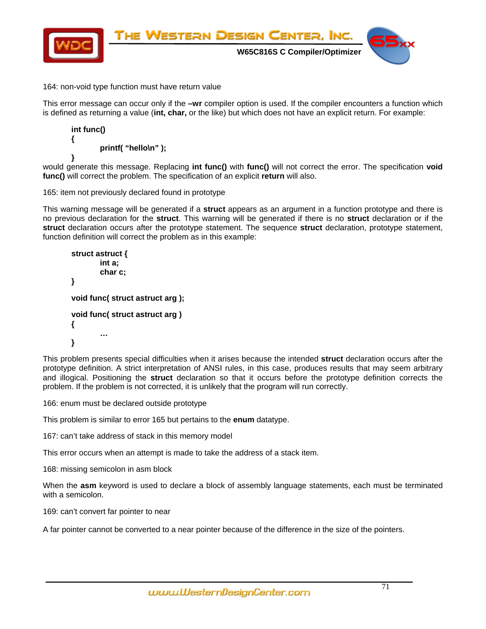

# 164: non-void type function must have return value

This error message can occur only if the **–wr** compiler option is used. If the compiler encounters a function which is defined as returning a value (**int, char,** or the like) but which does not have an explicit return. For example:

```
 int func() 
 { 
           printf( "hello\n" ); 
 }
```
would generate this message. Replacing **int func()** with **func()** will not correct the error. The specification **void func()** will correct the problem. The specification of an explicit **return** will also.

165: item not previously declared found in prototype

This warning message will be generated if a **struct** appears as an argument in a function prototype and there is no previous declaration for the **struct**. This warning will be generated if there is no **struct** declaration or if the **struct** declaration occurs after the prototype statement. The sequence **struct** declaration, prototype statement, function definition will correct the problem as in this example:

```
 struct astruct { 
                 int a; 
                 char c; 
         } 
         void func( struct astruct arg ); 
         void func( struct astruct arg ) 
         { 
 … 
         }
```
This problem presents special difficulties when it arises because the intended **struct** declaration occurs after the prototype definition. A strict interpretation of ANSI rules, in this case, produces results that may seem arbitrary and illogical. Positioning the **struct** declaration so that it occurs before the prototype definition corrects the problem. If the problem is not corrected, it is unlikely that the program will run correctly.

166: enum must be declared outside prototype

This problem is similar to error 165 but pertains to the **enum** datatype.

167: can't take address of stack in this memory model

This error occurs when an attempt is made to take the address of a stack item.

168: missing semicolon in asm block

When the **asm** keyword is used to declare a block of assembly language statements, each must be terminated with a semicolon.

169: can't convert far pointer to near

A far pointer cannot be converted to a near pointer because of the difference in the size of the pointers.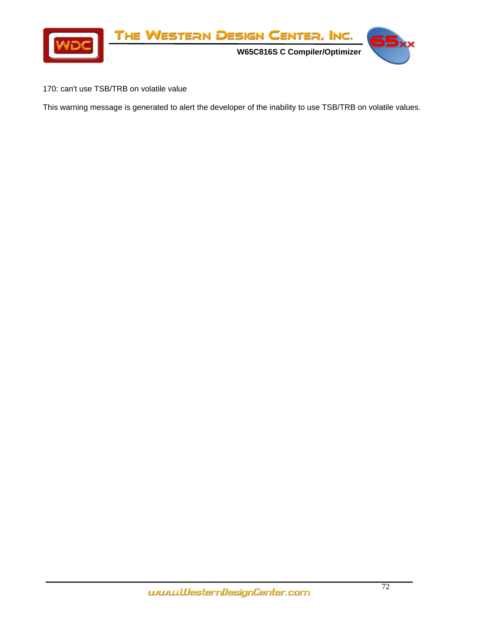

170: can't use TSB/TRB on volatile value

This warning message is generated to alert the developer of the inability to use TSB/TRB on volatile values.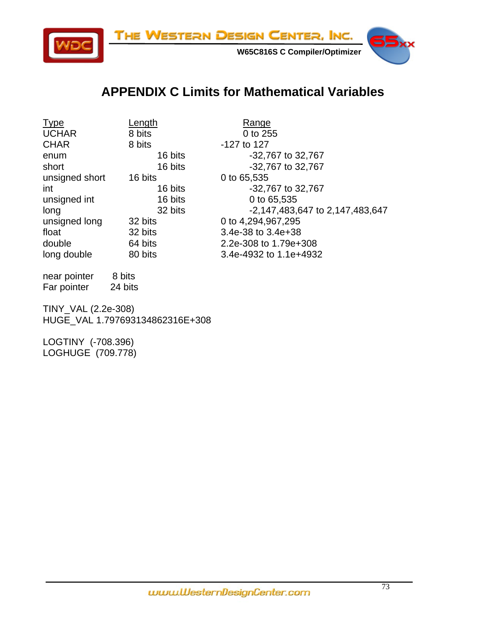

## **APPENDIX C Limits for Mathematical Variables**

Type Length Length Range UCHAR 8 bits 0 to 255<br>CHAR 8 bits -127 to 127 CHAR 8 bits -127 to 127 enum 16 bits -32,767 to 32,767 short 16 bits -32,767 to 32,767 unsigned short 16 bits 0 to 65,535 int 16 bits -32,767 to 32,767 unsigned int 16 bits 0 to 65,535 unsigned long 32 bits 0 to 4,294,967,295 float 32 bits 3.4e-38 to 3.4e+38 double 64 bits 2.2e-308 to 1.79e+308 long double 80 bits 3.4e-4932 to 1.1e+4932

long 32 bits -2,147,483,647 to 2,147,483,647

near pointer 8 bits Far pointer 24 bits

TINY\_VAL (2.2e-308) HUGE\_VAL 1.797693134862316E+308

LOGTINY (-708.396) LOGHUGE (709.778)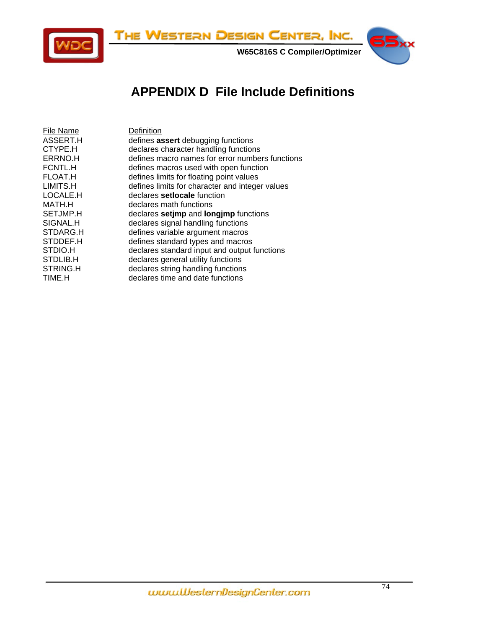

## **APPENDIX D File Include Definitions**